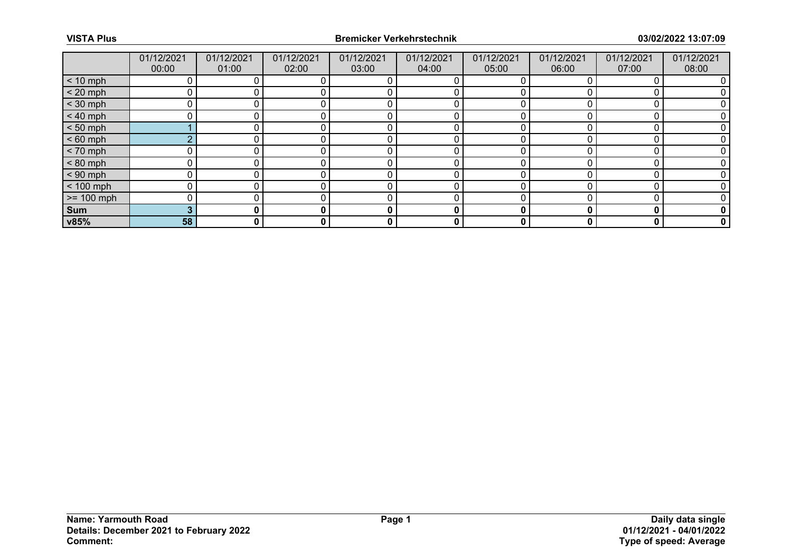|              | 01/12/2021 | 01/12/2021 | 01/12/2021 | 01/12/2021 | 01/12/2021 | 01/12/2021 | 01/12/2021 | 01/12/2021 | 01/12/2021  |
|--------------|------------|------------|------------|------------|------------|------------|------------|------------|-------------|
|              | 00:00      | 01:00      | 02:00      | 03:00      | 04:00      | 05:00      | 06:00      | 07:00      | 08:00       |
| $< 10$ mph   |            |            |            |            |            |            |            |            |             |
| $< 20$ mph   |            |            |            |            |            |            |            |            |             |
| $<$ 30 mph   | ∩          |            |            |            |            |            |            |            |             |
| $< 40$ mph   |            |            |            |            |            |            |            |            |             |
| $< 50$ mph   |            |            |            |            |            |            |            |            |             |
| $< 60$ mph   | ◠          |            |            |            |            |            |            |            |             |
| $< 70$ mph   |            |            |            |            |            |            |            |            |             |
| $< 80$ mph   |            |            |            |            |            |            |            |            |             |
| $< 90$ mph   | U          |            |            |            |            |            |            |            |             |
| $< 100$ mph  |            |            |            |            |            |            |            |            |             |
| $>= 100$ mph | $\Omega$   |            |            |            |            |            |            |            |             |
| Sum          | 3          |            |            | 0          | 0          |            |            |            | 0           |
| v85%         | 58         | 0          | 0          | 0          | 0          | 0          | 0          | 0          | $\mathbf 0$ |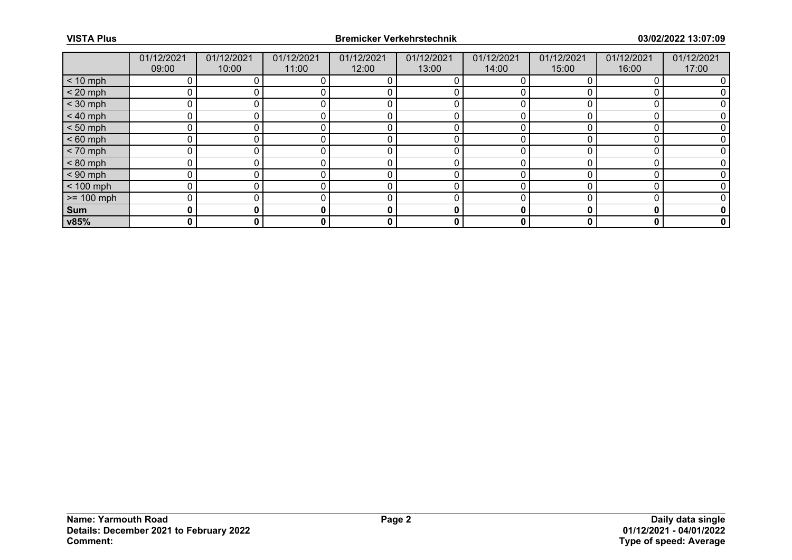|              | 01/12/2021 | 01/12/2021 | 01/12/2021 | 01/12/2021 | 01/12/2021 | 01/12/2021 | 01/12/2021 | 01/12/2021 | 01/12/2021  |
|--------------|------------|------------|------------|------------|------------|------------|------------|------------|-------------|
|              | 09:00      | 10:00      | 11:00      | 12:00      | 13:00      | 14:00      | 15:00      | 16:00      | 17:00       |
| $< 10$ mph   | 0          |            |            |            |            |            |            |            |             |
| $< 20$ mph   |            |            |            |            |            |            |            |            |             |
| $<$ 30 mph   | ∩          |            |            |            |            |            |            |            |             |
| $< 40$ mph   | n          |            |            |            |            |            |            |            |             |
| $< 50$ mph   |            |            |            |            |            |            |            |            |             |
| $< 60$ mph   |            |            |            |            |            |            |            |            |             |
| $< 70$ mph   |            |            |            |            |            |            |            |            |             |
| $< 80$ mph   |            |            |            |            |            |            |            |            |             |
| $< 90$ mph   | ሰ          |            |            |            |            |            |            |            |             |
| $< 100$ mph  | 0          |            |            |            |            |            |            |            |             |
| $>= 100$ mph | $\Omega$   |            |            |            |            |            |            |            |             |
| Sum          | 0          |            |            | 0          | 0          |            |            | О          | 0           |
| v85%         | 0          | 0          | 0          | 0          | 0          | 0          | 0          | 0          | $\mathbf 0$ |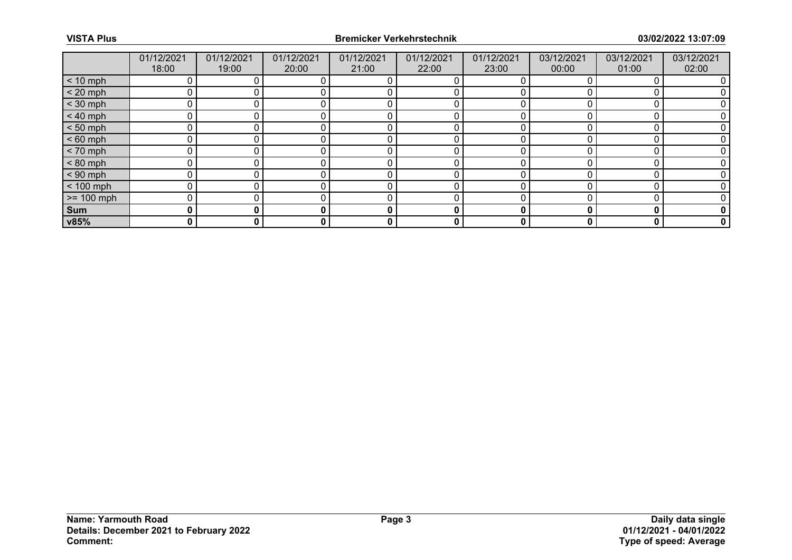|              | 01/12/2021 | 01/12/2021 | 01/12/2021 | 01/12/2021 | 01/12/2021 | 01/12/2021 | 03/12/2021 | 03/12/2021 | 03/12/2021  |
|--------------|------------|------------|------------|------------|------------|------------|------------|------------|-------------|
|              | 18:00      | 19:00      | 20:00      | 21:00      | 22:00      | 23:00      | 00:00      | 01:00      | 02:00       |
| $< 10$ mph   |            |            |            |            |            |            |            |            |             |
| $< 20$ mph   |            |            |            |            |            |            |            |            |             |
| $<$ 30 mph   | ∩          |            |            |            |            |            |            |            |             |
| $< 40$ mph   |            |            |            |            |            |            |            |            |             |
| $< 50$ mph   |            |            |            |            |            |            |            |            |             |
| $< 60$ mph   |            |            |            |            |            |            |            |            |             |
| $< 70$ mph   |            |            |            |            |            |            |            |            |             |
| $< 80$ mph   |            |            |            |            |            |            |            |            |             |
| $< 90$ mph   | U          |            |            |            |            |            |            |            |             |
| $< 100$ mph  |            |            |            |            |            |            |            |            |             |
| $>= 100$ mph | $\Omega$   |            |            |            |            |            |            |            |             |
| Sum          | 0          |            |            | 0          | 0          |            |            |            | 0           |
| v85%         | 0          | 0          | 0          | 0          | 0          | 0          | 0          | 0          | $\mathbf 0$ |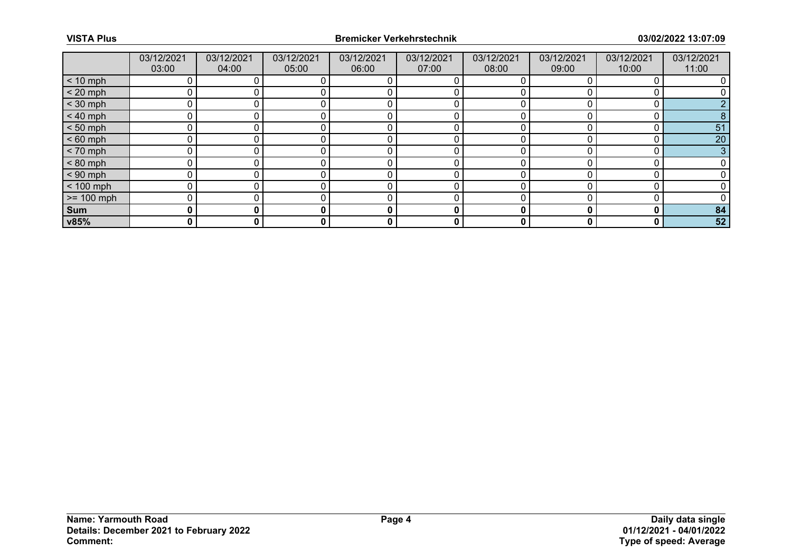|              | 03/12/2021 | 03/12/2021 | 03/12/2021 | 03/12/2021 | 03/12/2021 | 03/12/2021 | 03/12/2021 | 03/12/2021 | 03/12/2021 |
|--------------|------------|------------|------------|------------|------------|------------|------------|------------|------------|
|              | 03:00      | 04:00      | 05:00      | 06:00      | 07:00      | 08:00      | 09:00      | 10:00      | 11:00      |
| $< 10$ mph   |            |            |            |            |            |            |            |            |            |
| $< 20$ mph   |            |            |            |            |            |            |            |            |            |
| $<$ 30 mph   |            |            |            |            |            |            |            |            |            |
| $< 40$ mph   |            |            |            |            |            |            |            |            |            |
| $< 50$ mph   |            |            |            |            |            | U          |            |            | 51         |
| $< 60$ mph   |            |            |            |            |            |            |            |            | 20         |
| $< 70$ mph   |            |            |            |            |            |            |            |            | 3          |
| $< 80$ mph   |            |            |            |            |            |            |            |            |            |
| $< 90$ mph   | n          |            |            | $\Omega$   |            | ∩          |            |            |            |
| $< 100$ mph  |            |            |            |            |            |            |            |            |            |
| $>= 100$ mph |            |            |            |            |            | ∩          |            |            |            |
| Sum          | 0          |            |            | 0          | 0          |            |            | C          | 84         |
| v85%         | 0          | 0          | 0          | 0          | 0          | 0          |            | 0          | 52         |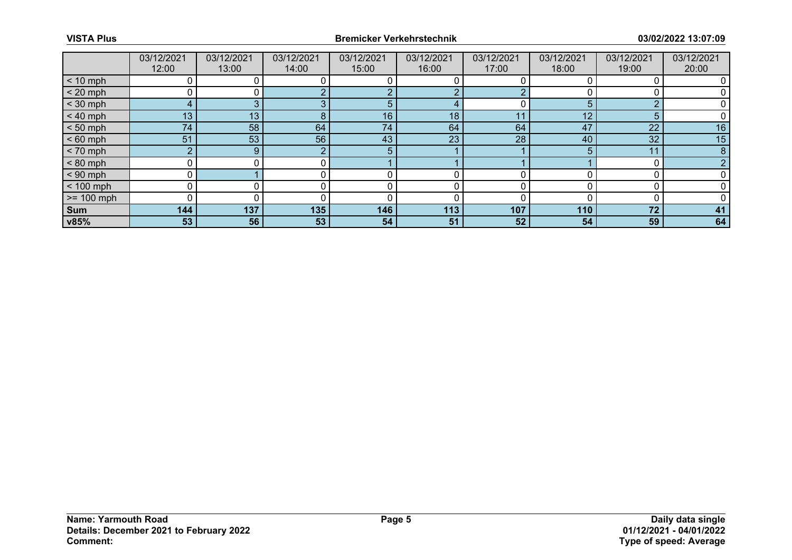|              | 03/12/2021      | 03/12/2021 | 03/12/2021 | 03/12/2021 | 03/12/2021 | 03/12/2021 | 03/12/2021 | 03/12/2021 | 03/12/2021 |
|--------------|-----------------|------------|------------|------------|------------|------------|------------|------------|------------|
|              | 12:00           | 13:00      | 14:00      | 15:00      | 16:00      | 17:00      | 18:00      | 19:00      | 20:00      |
| $< 10$ mph   |                 |            |            |            |            |            |            |            |            |
| $< 20$ mph   |                 |            |            |            | ◠          |            |            |            |            |
| $<$ 30 mph   |                 |            |            | 5          | 4          |            |            | $\sim$     |            |
| $< 40$ mph   | 13 <sup>°</sup> | 13         |            | 16         | 18         |            | 12         | 5          |            |
| $< 50$ mph   | 74              | 58         | 64         | 74         | 64         | 64         | 47         | 22         | 16         |
| $< 60$ mph   | 51              | 53         | 56         | 43         | 23         | 28         | 40         | 32         | 15         |
| $< 70$ mph   | <sub>O</sub>    | 9          | $\Omega$   | 5          |            |            |            | 11         |            |
| $< 80$ mph   |                 |            |            |            |            |            |            |            |            |
| $< 90$ mph   |                 |            |            |            |            |            |            |            |            |
| $< 100$ mph  |                 |            |            |            |            |            |            |            |            |
| $>= 100$ mph |                 |            |            |            |            |            |            |            |            |
| Sum          | 144             | 137        | 135        | 146        | 113        | 107        | 110        | 72         | 41         |
| v85%         | 53              | 56         | 53         | 54         | 51         | 52         | 54         | 59         | 64         |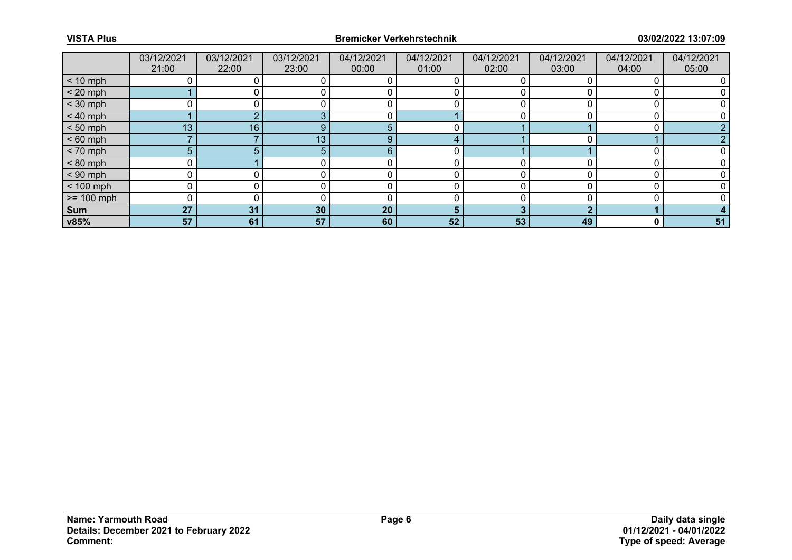|              | 03/12/2021 | 03/12/2021 | 03/12/2021      | 04/12/2021 | 04/12/2021 | 04/12/2021 | 04/12/2021 | 04/12/2021 | 04/12/2021 |
|--------------|------------|------------|-----------------|------------|------------|------------|------------|------------|------------|
|              | 21:00      | 22:00      | 23:00           | 00:00      | 01:00      | 02:00      | 03:00      | 04:00      | 05:00      |
| $< 10$ mph   |            |            |                 |            |            |            |            |            |            |
| $< 20$ mph   |            |            |                 |            |            |            |            |            |            |
| $<$ 30 mph   |            |            |                 |            |            |            |            |            |            |
| $< 40$ mph   |            |            |                 |            |            |            |            |            |            |
| $< 50$ mph   | 13         | 16         | Q               | 5          |            |            |            |            |            |
| $< 60$ mph   |            |            | 13 <sub>1</sub> | 9          |            |            |            |            |            |
| $< 70$ mph   | 5          |            |                 | 6          |            |            |            |            |            |
| $< 80$ mph   |            |            |                 |            |            |            |            |            |            |
| $< 90$ mph   | U          |            |                 |            |            | ∩          |            |            |            |
| $< 100$ mph  |            |            |                 |            |            |            |            |            |            |
| $>= 100$ mph | U          |            |                 |            |            | ∩          |            |            |            |
| Sum          | 27         | 31         | 30 <sub>2</sub> | 20         | 5          |            |            |            |            |
| v85%         | 57         | 61         | 57              | 60         | 52         | 53         | 49         | 0          | 51         |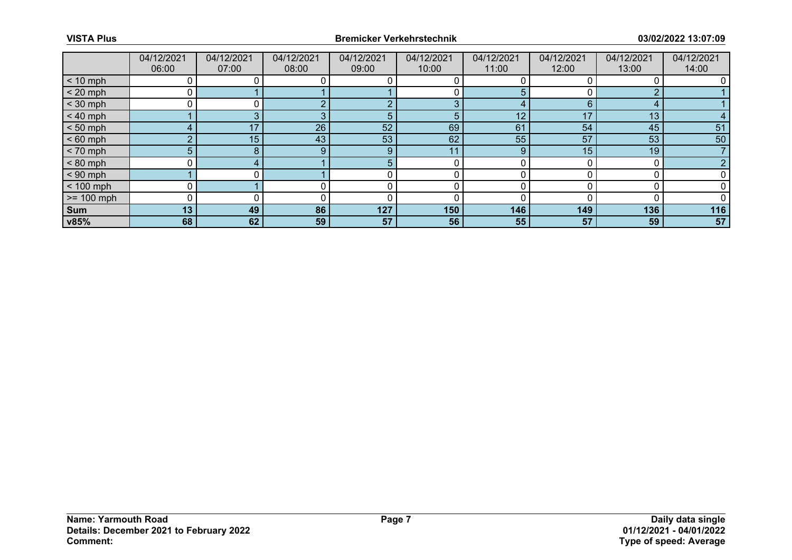|              | 04/12/2021     | 04/12/2021 | 04/12/2021 | 04/12/2021 | 04/12/2021 | 04/12/2021 | 04/12/2021 | 04/12/2021      | 04/12/2021 |
|--------------|----------------|------------|------------|------------|------------|------------|------------|-----------------|------------|
|              | 06:00          | 07:00      | 08:00      | 09:00      | 10:00      | 11:00      | 12:00      | 13:00           | 14:00      |
| $< 10$ mph   |                |            |            |            |            |            |            |                 |            |
| $< 20$ mph   |                |            |            |            |            |            |            | n               |            |
| $<$ 30 mph   |                |            |            |            | 3          |            |            |                 |            |
| $< 40$ mph   |                |            |            | 5          | 5          | 12         | 17         | 13 <sub>1</sub> |            |
| $< 50$ mph   |                | 17         | 26         | 52         | 69         | 61         | 54         | 45              | 51         |
| $< 60$ mph   |                | 15         | 43         | 53         | 62         | 55         | 57         | 53              | 50         |
| $< 70$ mph   | 5 <sup>5</sup> | 8          | 9          | 9          | 11         | 9          | 15         | 19              |            |
| $< 80$ mph   |                |            |            |            |            |            |            |                 |            |
| $< 90$ mph   |                |            |            |            |            |            |            |                 |            |
| $< 100$ mph  |                |            |            |            |            |            |            |                 |            |
| $>= 100$ mph |                |            |            |            |            |            |            |                 |            |
| Sum          | 13             | 49         | 86         | 127        | 150        | 146        | 149        | 136             | 116        |
| v85%         | 68             | 62         | 59         | 57         | 56         | 55         | 57         | 59              | 57         |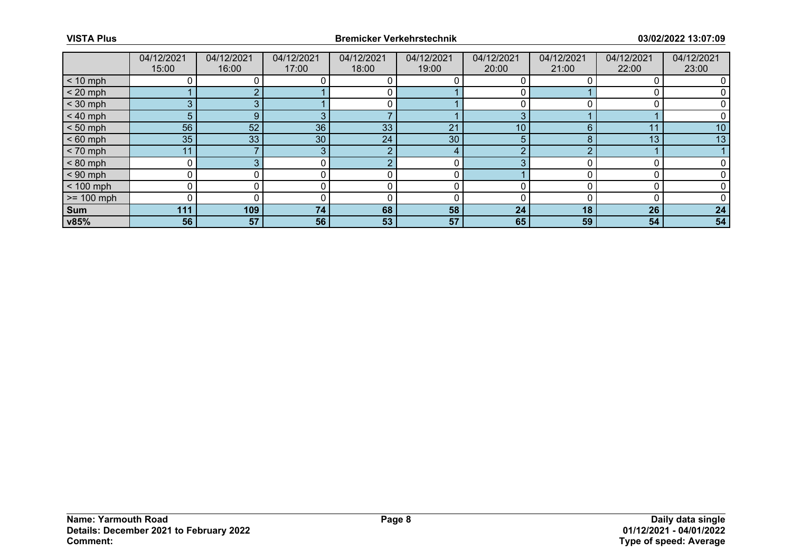|                 | 04/12/2021 | 04/12/2021 | 04/12/2021      | 04/12/2021 | 04/12/2021 | 04/12/2021 | 04/12/2021 | 04/12/2021 | 04/12/2021 |
|-----------------|------------|------------|-----------------|------------|------------|------------|------------|------------|------------|
|                 | 15:00      | 16:00      | 17:00           | 18:00      | 19:00      | 20:00      | 21:00      | 22:00      | 23:00      |
| $< 10$ mph      |            |            |                 |            |            |            |            |            |            |
| $< 20$ mph      |            |            |                 |            |            |            |            |            |            |
| $<$ 30 mph      |            |            |                 |            |            |            |            |            |            |
| $< 40$ mph      | 5          | 9          |                 |            |            |            |            |            |            |
| $< 50$ mph      | 56         | 52         | 36              | 33         | 21         | 10         |            | 11         | 10         |
| $< 60$ mph      | 35         | 33         | 30 <sup>°</sup> | 24         | 30         | 5.         |            | 13         | 13         |
| $< 70$ mph      | 11         |            |                 | ∩          | 4          |            |            |            |            |
| $< 80$ mph      |            |            |                 |            |            |            |            |            |            |
| $< 90$ mph      |            |            |                 |            |            |            |            |            |            |
| $< 100$ mph     |            |            |                 |            |            |            |            |            |            |
| $\ge$ = 100 mph |            |            |                 |            |            |            |            |            |            |
| Sum             | 111        | 109        | 74              | 68         | 58         | 24         | 18         | 26         | 24         |
| v85%            | 56         | 57         | 56              | 53         | 57         | 65         | 59         | 54         | 54         |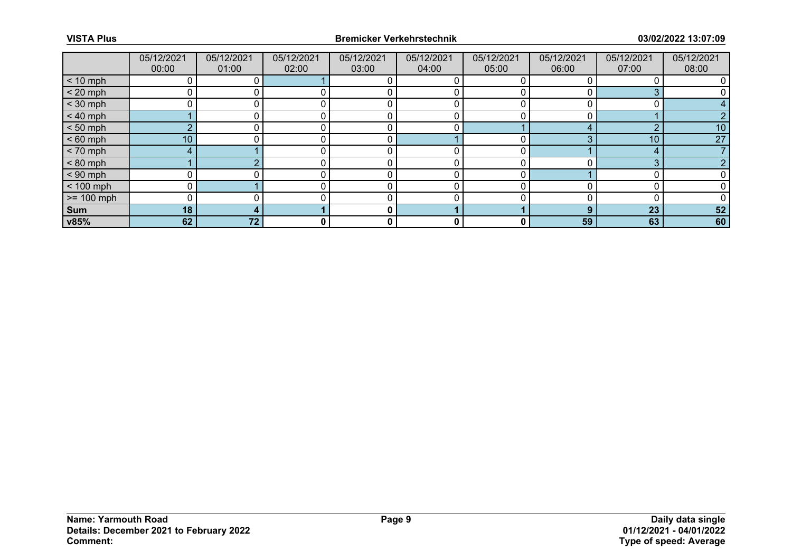|              | 05/12/2021      | 05/12/2021      | 05/12/2021 | 05/12/2021 | 05/12/2021 | 05/12/2021 | 05/12/2021 | 05/12/2021 | 05/12/2021 |
|--------------|-----------------|-----------------|------------|------------|------------|------------|------------|------------|------------|
|              | 00:00           | 01:00           | 02:00      | 03:00      | 04:00      | 05:00      | 06:00      | 07:00      | 08:00      |
| $< 10$ mph   |                 |                 |            |            |            |            |            |            |            |
| $< 20$ mph   |                 |                 |            |            |            |            |            |            |            |
| $<$ 30 mph   |                 |                 |            |            |            |            |            |            |            |
| $< 40$ mph   |                 |                 |            |            |            |            |            |            |            |
| $< 50$ mph   | $\sim$          |                 |            |            |            |            |            | n          | 10         |
| $< 60$ mph   | 10 <sub>1</sub> |                 |            |            |            |            |            | 10         | 27         |
| $< 70$ mph   |                 |                 |            |            |            |            |            | 4          |            |
| $< 80$ mph   |                 |                 |            |            |            |            |            | ◠          |            |
| $< 90$ mph   |                 |                 |            |            |            | ∩          |            |            |            |
| $< 100$ mph  |                 |                 |            |            |            |            |            |            |            |
| $>= 100$ mph |                 |                 |            |            |            |            |            |            |            |
| Sum          | 18              |                 |            | 0          |            |            |            | 23         | 52         |
| v85%         | 62              | 72 <sub>2</sub> | 0          | 0          | 0          | 0          | 59         | 63         | 60         |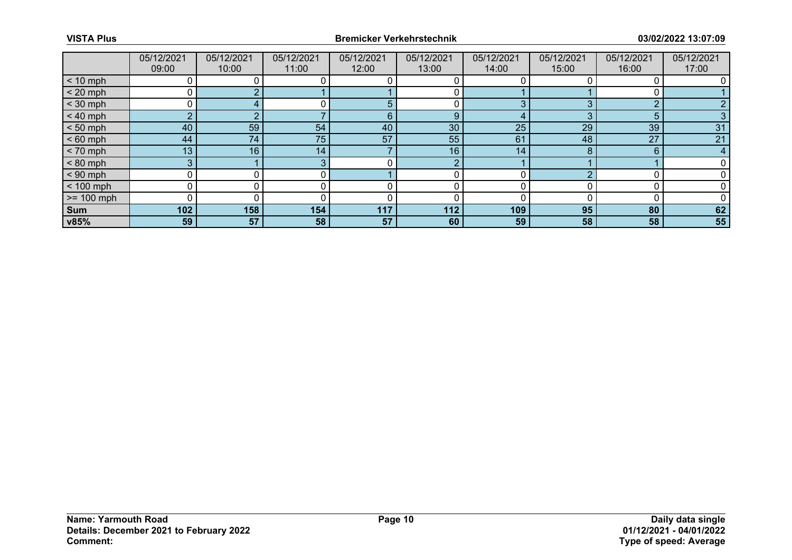|              | 05/12/2021      | 05/12/2021 | 05/12/2021 | 05/12/2021 | 05/12/2021 | 05/12/2021 | 05/12/2021 | 05/12/2021 | 05/12/2021 |
|--------------|-----------------|------------|------------|------------|------------|------------|------------|------------|------------|
|              | 09:00           | 10:00      | 11:00      | 12:00      | 13:00      | 14:00      | 15:00      | 16:00      | 17:00      |
| $< 10$ mph   |                 |            |            |            |            |            |            |            |            |
| $< 20$ mph   |                 |            |            |            |            |            |            |            |            |
| $<$ 30 mph   |                 |            |            | 5          |            |            |            | $\Omega$   |            |
| $< 40$ mph   |                 |            |            | 6          | 9          |            |            | 5          |            |
| $< 50$ mph   | 40              | 59         | 54         | 40         | 30         | 25         | 29         | 39         | 31         |
| $< 60$ mph   | 44              | 74         | 75         | 57         | 55         | 61         | 48         | 27         | 21         |
| $< 70$ mph   | 13 <sub>1</sub> | 16         | 14         |            | 16         | 14         |            | 6          |            |
| $< 80$ mph   | 3               |            |            |            | $\Omega$   |            |            |            |            |
| $< 90$ mph   |                 |            |            |            |            |            |            |            |            |
| $< 100$ mph  |                 |            |            |            |            |            |            |            |            |
| $>= 100$ mph |                 |            |            |            |            |            |            |            |            |
| Sum          | 102             | 158        | 154        | 117        | 112        | 109        | 95         | 80         | 62         |
| v85%         | 59              | 57         | 58         | 57         | 60         | 59         | 58         | 58         | 55         |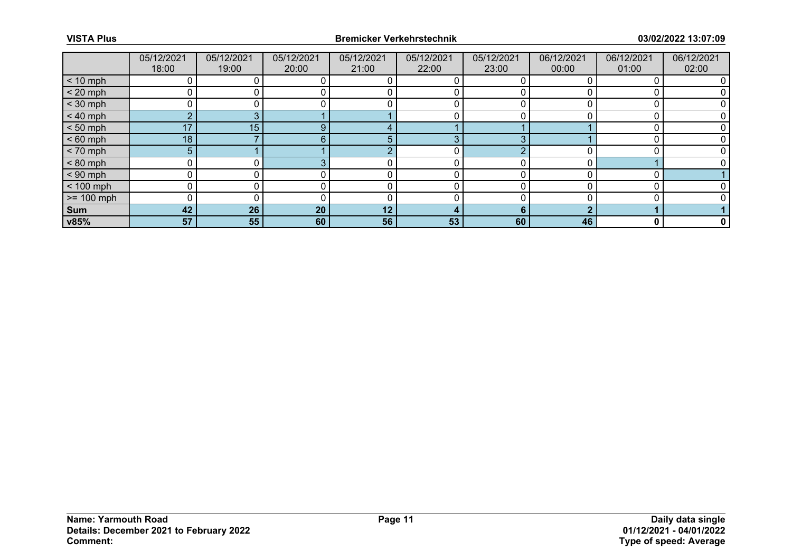|              | 05/12/2021     | 05/12/2021 | 05/12/2021 | 05/12/2021 | 05/12/2021      | 05/12/2021 | 06/12/2021 | 06/12/2021 | 06/12/2021 |
|--------------|----------------|------------|------------|------------|-----------------|------------|------------|------------|------------|
|              | 18:00          | 19:00      | 20:00      | 21:00      | 22:00           | 23:00      | 00:00      | 01:00      | 02:00      |
| $< 10$ mph   |                |            |            |            |                 |            |            |            |            |
| $< 20$ mph   |                |            |            |            |                 |            |            |            |            |
| $<$ 30 mph   | 0              |            |            |            |                 |            |            |            |            |
| $< 40$ mph   | $\overline{2}$ |            |            |            |                 |            |            |            |            |
| $< 50$ mph   | 17             | 15         | g          |            |                 |            |            |            |            |
| $< 60$ mph   | 18             |            | 6.         |            | θ               |            |            |            |            |
| $< 70$ mph   | 5              |            |            |            |                 |            |            |            |            |
| $< 80$ mph   | 0              |            |            |            |                 |            |            |            |            |
| $< 90$ mph   | U              |            |            |            |                 |            |            |            |            |
| $< 100$ mph  |                |            |            |            |                 |            |            |            |            |
| $>= 100$ mph | 0              |            |            | r          |                 |            |            |            |            |
| Sum          | 42             | 26         | 20         | 12         | 4               | 6          | ◠          |            |            |
| v85%         | 57             | 55         | 60         | 56         | 53 <sub>1</sub> | 60         | 46         | 0          | 0          |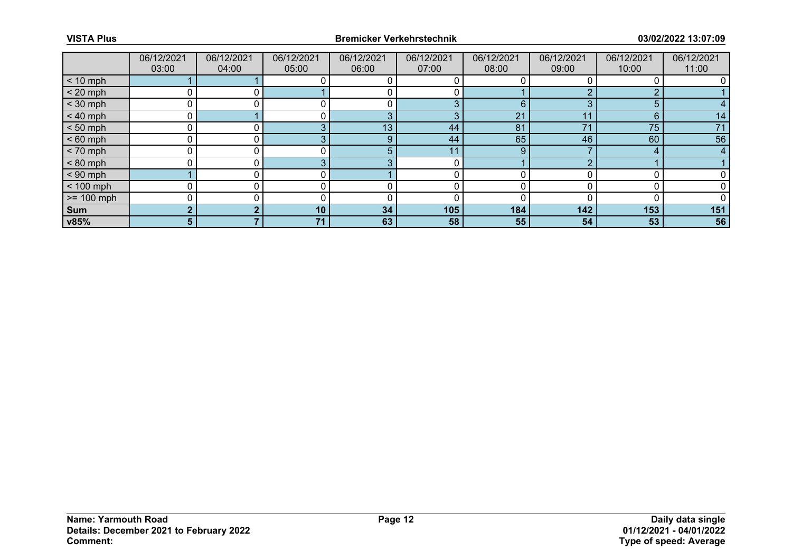|              | 06/12/2021     | 06/12/2021 | 06/12/2021 | 06/12/2021 | 06/12/2021 | 06/12/2021 | 06/12/2021 | 06/12/2021 | 06/12/2021 |
|--------------|----------------|------------|------------|------------|------------|------------|------------|------------|------------|
|              | 03:00          | 04:00      | 05:00      | 06:00      | 07:00      | 08:00      | 09:00      | 10:00      | 11:00      |
| $< 10$ mph   |                |            |            |            |            |            |            |            |            |
| $< 20$ mph   |                |            |            |            |            |            |            | ◠          |            |
| $<$ 30 mph   |                |            |            |            | 3          | 6          |            | 5          |            |
| $< 40$ mph   |                |            |            | ാ          | 3          | 21         |            | 6          | 14         |
| $< 50$ mph   |                |            |            | 13         | 44         | 81         | 74         | 75         | 71         |
| $< 60$ mph   |                |            |            | ō          | 44         | 65         | 46         | 60         | 56         |
| $< 70$ mph   |                |            |            |            | 11         | 9          |            |            |            |
| $< 80$ mph   |                |            |            |            |            |            |            |            |            |
| $< 90$ mph   |                |            |            |            |            |            |            |            |            |
| $< 100$ mph  |                |            |            |            |            |            |            |            |            |
| $>= 100$ mph |                |            |            |            |            |            |            |            |            |
| Sum          |                |            | 10         | 34         | 105        | 184        | 142        | 153        | 151        |
| v85%         | 5 <sup>1</sup> |            | 71         | 63         | 58         | 55         | 54         | 53         | 56         |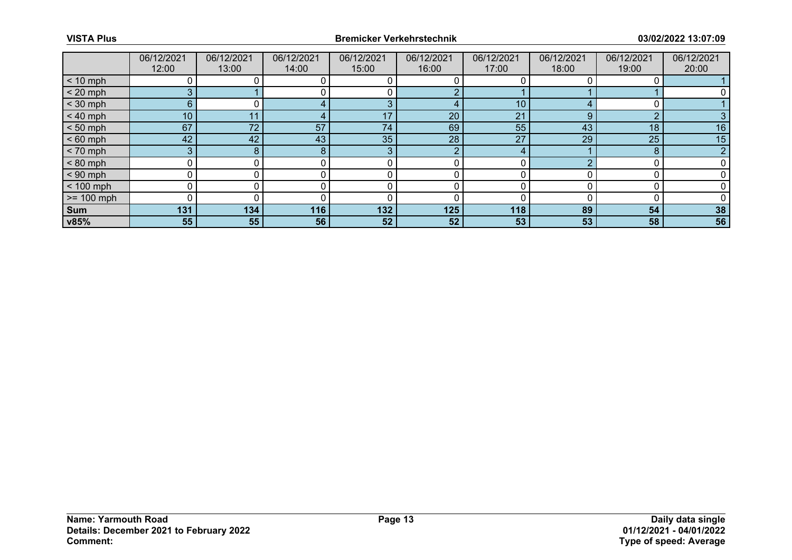|              | 06/12/2021      | 06/12/2021 | 06/12/2021 | 06/12/2021 | 06/12/2021      | 06/12/2021   | 06/12/2021 | 06/12/2021 | 06/12/2021 |
|--------------|-----------------|------------|------------|------------|-----------------|--------------|------------|------------|------------|
|              | 12:00           | 13:00      | 14:00      | 15:00      | 16:00           | 17:00        | 18:00      | 19:00      | 20:00      |
| $< 10$ mph   |                 |            |            |            |                 |              |            |            |            |
| $< 20$ mph   | 3.              |            |            |            |                 |              |            |            |            |
| $<$ 30 mph   | 6               |            |            | З          | 4               | 10           |            |            |            |
| $< 40$ mph   | 10 <sup>°</sup> |            |            | 17         | 20 <sub>1</sub> | 21           |            | $\sim$     |            |
| $< 50$ mph   | 67              | 72         | 57         | 74         | 69              | 55           | 43         | 18         | 16         |
| $< 60$ mph   | 42              | 42         | 43         | 35         | 28              | 27           | 29         | 25         | 15         |
| $< 70$ mph   | 3               |            | 8          | 3          | o               | $\mathbf{a}$ |            | 8          |            |
| $< 80$ mph   |                 |            |            |            |                 |              |            |            |            |
| $< 90$ mph   |                 |            |            |            |                 |              |            |            |            |
| $< 100$ mph  |                 |            |            |            |                 |              |            |            |            |
| $>= 100$ mph |                 |            |            |            |                 |              |            |            |            |
| Sum          | 131             | 134        | 116        | 132        | 125             | 118          | 89         | 54         | 38         |
| v85%         | 55              | 55         | 56         | 52         | 52              | 53           | 53         | 58         | 56         |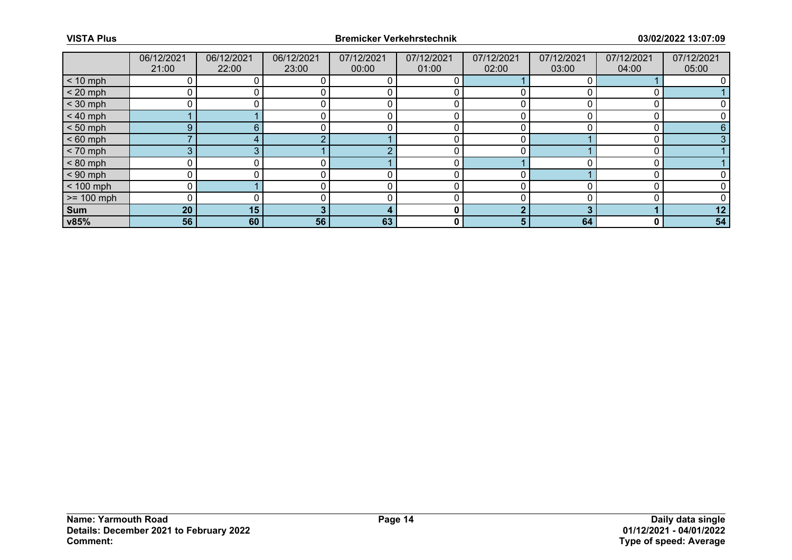|              | 06/12/2021 | 06/12/2021 | 06/12/2021 | 07/12/2021 | 07/12/2021   | 07/12/2021 | 07/12/2021 | 07/12/2021 | 07/12/2021 |
|--------------|------------|------------|------------|------------|--------------|------------|------------|------------|------------|
|              | 21:00      | 22:00      | 23:00      | 00:00      | 01:00        | 02:00      | 03:00      | 04:00      | 05:00      |
| $< 10$ mph   |            |            |            |            |              |            |            |            |            |
| $< 20$ mph   |            |            |            |            |              |            |            |            |            |
| $<$ 30 mph   |            |            |            |            |              |            |            |            |            |
| $< 40$ mph   |            |            |            |            |              |            |            |            |            |
| $< 50$ mph   | 9          | 6          |            |            |              |            |            |            |            |
| $< 60$ mph   |            |            |            |            |              |            |            |            |            |
| $< 70$ mph   | 3          |            |            |            |              |            |            |            |            |
| $< 80$ mph   |            |            |            |            |              |            |            |            |            |
| $< 90$ mph   |            |            |            |            |              |            |            |            |            |
| $< 100$ mph  |            |            |            |            |              |            |            |            |            |
| $>= 100$ mph |            |            |            |            |              |            |            |            |            |
| Sum          | 20         | 15         |            |            | 0            |            |            |            | 12         |
| v85%         | 56         | 60         | 56         | 63         | $\mathbf{0}$ | 5.         | 64         |            | 54         |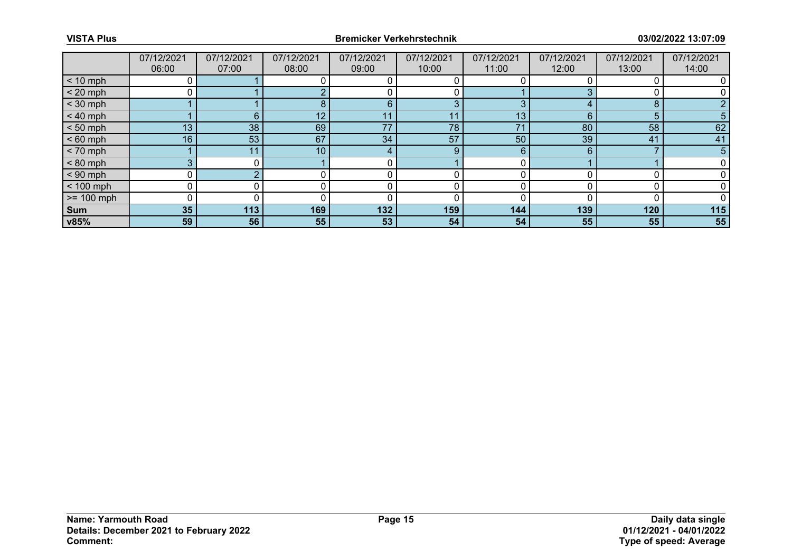|              | 07/12/2021 | 07/12/2021 | 07/12/2021      | 07/12/2021 | 07/12/2021 | 07/12/2021 | 07/12/2021 | 07/12/2021 | 07/12/2021 |
|--------------|------------|------------|-----------------|------------|------------|------------|------------|------------|------------|
|              | 06:00      | 07:00      | 08:00           | 09:00      | 10:00      | 11:00      | 12:00      | 13:00      | 14:00      |
| $< 10$ mph   |            |            |                 |            |            |            |            |            |            |
| $< 20$ mph   |            |            |                 |            |            |            |            |            |            |
| $<$ 30 mph   |            |            | 8               | 6          | 3          | 3          |            | 8          |            |
| $< 40$ mph   |            | 6.         | 12              | 11         |            | 13         | 6          | 5          | 5          |
| $< 50$ mph   | 13         | 38         | 69              | 77         | 78         | 71         | 80         | 58         | 62         |
| $< 60$ mph   | 16         | 53         | 67              | 34         | 57         | 50         | 39         | 41         | 41         |
| $< 70$ mph   |            | 11         | 10 <sub>1</sub> | 4          | 9          | 6          | 6          |            | 5          |
| $< 80$ mph   | 3          |            |                 |            |            | 0          |            |            |            |
| $< 90$ mph   |            |            |                 |            |            |            |            |            |            |
| $< 100$ mph  |            |            |                 |            |            |            |            |            |            |
| $>= 100$ mph |            |            |                 |            |            |            |            |            |            |
| Sum          | 35         | 113        | 169             | 132        | 159        | 144        | 139        | 120        | 115        |
| v85%         | 59         | 56         | 55              | 53         | 54         | 54         | 55         | 55         | 55         |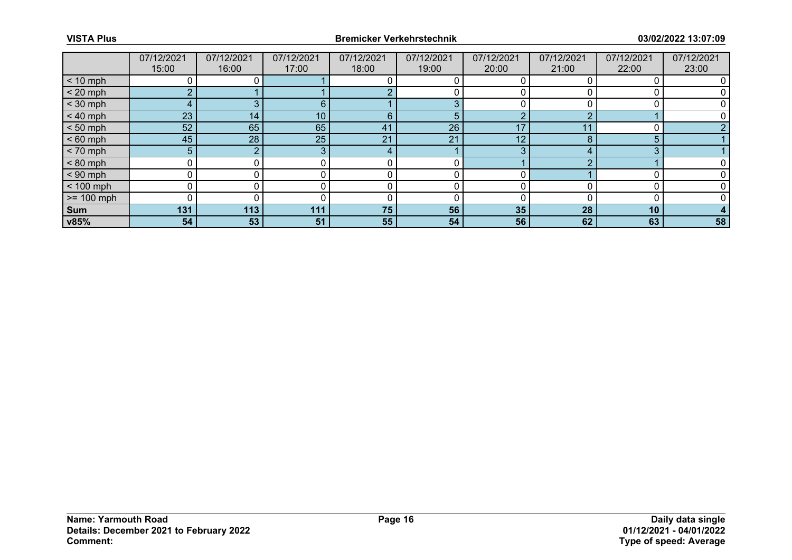|              | 07/12/2021     | 07/12/2021 | 07/12/2021 | 07/12/2021 | 07/12/2021 | 07/12/2021 | 07/12/2021 | 07/12/2021 | 07/12/2021 |
|--------------|----------------|------------|------------|------------|------------|------------|------------|------------|------------|
|              | 15:00          | 16:00      | 17:00      | 18:00      | 19:00      | 20:00      | 21:00      | 22:00      | 23:00      |
| $< 10$ mph   |                |            |            |            |            |            |            |            |            |
| $< 20$ mph   | o.             |            |            |            |            |            |            |            |            |
| $<$ 30 mph   | 4              |            | 6          |            | 3          |            |            |            |            |
| $< 40$ mph   | 23             | 14         | 10         | 6          | 5          | $\Omega$   |            |            |            |
| $< 50$ mph   | 52             | 65         | 65         | 41         | 26         | 17         |            |            |            |
| $< 60$ mph   | 45             | 28         | 25         | 21         | 21         | 12         |            | 5          |            |
| $< 70$ mph   | 5 <sup>1</sup> |            |            | 4          |            | 3          |            | 3          |            |
| $< 80$ mph   | ∩              |            |            |            |            |            |            |            |            |
| $< 90$ mph   |                |            |            |            |            |            |            |            |            |
| $< 100$ mph  |                |            |            |            |            |            |            |            |            |
| $>= 100$ mph |                |            |            |            |            |            |            |            |            |
| Sum          | 131            | 113        | 111        | 75         | 56         | 35         | 28         | 10         |            |
| v85%         | 54             | 53         | 51         | 55         | 54         | 56         | 62         | 63         | 58         |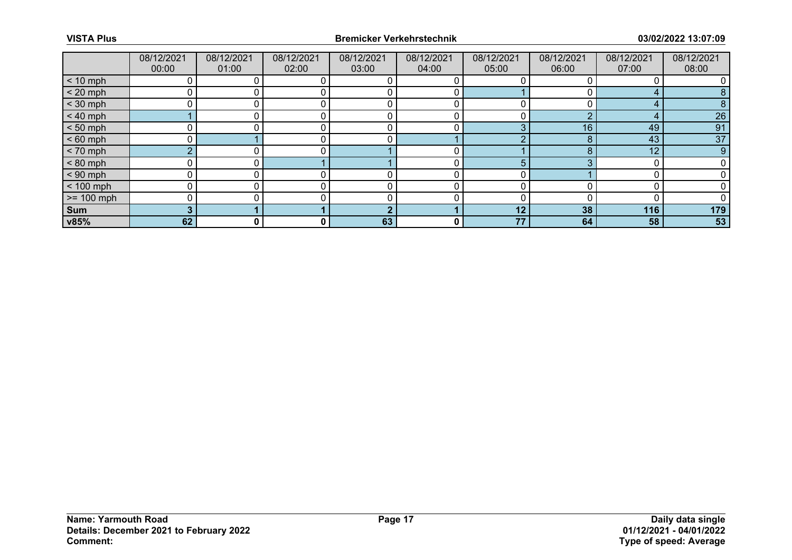|              | 08/12/2021 | 08/12/2021 | 08/12/2021 | 08/12/2021 | 08/12/2021   | 08/12/2021 | 08/12/2021 | 08/12/2021 | 08/12/2021 |
|--------------|------------|------------|------------|------------|--------------|------------|------------|------------|------------|
|              | 00:00      | 01:00      | 02:00      | 03:00      | 04:00        | 05:00      | 06:00      | 07:00      | 08:00      |
| $< 10$ mph   |            |            |            |            |              |            |            |            |            |
| $< 20$ mph   |            |            |            |            |              |            |            |            |            |
| $<$ 30 mph   |            |            |            |            |              |            |            |            |            |
| $< 40$ mph   |            |            |            |            |              |            |            |            | 26         |
| $< 50$ mph   |            |            |            |            |              | 3          | 16         | 49         | 91         |
| $< 60$ mph   |            |            |            |            |              |            |            | 43         | 37         |
| $< 70$ mph   | $\sim$     |            |            |            |              |            |            | 12         | 9          |
| $< 80$ mph   |            |            |            |            |              | 5.         |            |            |            |
| $< 90$ mph   |            |            |            |            |              |            |            |            |            |
| $< 100$ mph  |            |            |            |            |              |            |            |            |            |
| $>= 100$ mph |            |            |            |            |              |            |            |            |            |
| Sum          |            |            |            |            |              | 12         | 38         | 116        | 179        |
| v85%         | 62         | 0          | 0          | 63         | $\mathbf{0}$ | 77         | 64         | 58         | 53         |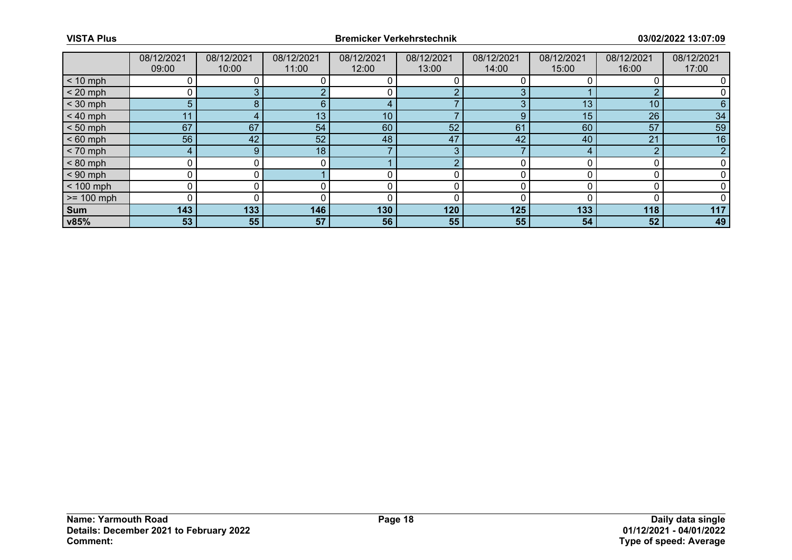|              | 08/12/2021 | 08/12/2021 | 08/12/2021      | 08/12/2021 | 08/12/2021 | 08/12/2021 | 08/12/2021 | 08/12/2021      | 08/12/2021 |
|--------------|------------|------------|-----------------|------------|------------|------------|------------|-----------------|------------|
|              | 09:00      | 10:00      | 11:00           | 12:00      | 13:00      | 14:00      | 15:00      | 16:00           | 17:00      |
| $< 10$ mph   |            |            |                 |            |            |            |            |                 |            |
| $< 20$ mph   |            |            |                 |            | $\sim$     |            |            | $\sim$          |            |
| $<$ 30 mph   | 5          |            | 6               | $\sqrt{ }$ |            |            | 13         | 10 <sup>1</sup> | 6          |
| $< 40$ mph   | 11         |            | 13 <sub>1</sub> | 10         |            | g          | 15         | 26              | 34         |
| $< 50$ mph   | 67         | 67         | 54              | 60         | 52         | 61         | 60         | 57              | 59         |
| $< 60$ mph   | 56         | 42         | 52              | 48         | 47         | 42         | 40         | 21              | 16         |
| $< 70$ mph   | 4          | 9          | 18              |            | 3          |            |            | $\Omega$        |            |
| $< 80$ mph   |            |            |                 |            | $\sqrt{ }$ |            |            |                 |            |
| $< 90$ mph   |            |            |                 |            |            |            |            |                 |            |
| $< 100$ mph  |            |            |                 |            |            |            |            |                 |            |
| $>= 100$ mph |            |            |                 |            |            |            |            |                 |            |
| Sum          | 143        | 133        | 146             | 130        | 120        | 125        | 133        | 118             | 117        |
| v85%         | 53         | 55         | 57              | 56         | 55         | 55         | 54         | 52              | 49         |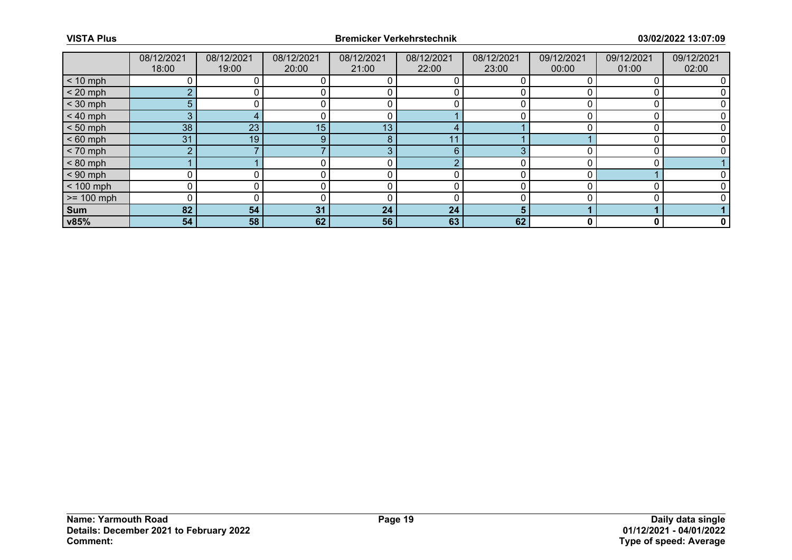|              | 08/12/2021     | 08/12/2021 | 08/12/2021 | 08/12/2021 | 08/12/2021 | 08/12/2021 | 09/12/2021 | 09/12/2021 | 09/12/2021   |
|--------------|----------------|------------|------------|------------|------------|------------|------------|------------|--------------|
|              | 18:00          | 19:00      | 20:00      | 21:00      | 22:00      | 23:00      | 00:00      | 01:00      | 02:00        |
| $< 10$ mph   |                |            |            |            |            |            |            |            |              |
| $< 20$ mph   |                |            |            |            |            |            |            |            |              |
| $<$ 30 mph   | 5              |            |            |            |            |            |            |            |              |
| $< 40$ mph   | 3              |            |            |            |            |            |            |            |              |
| $< 50$ mph   | 38             | 23         | 15         | 13         |            |            |            |            |              |
| $< 60$ mph   | 31             | 19         |            | 8          | 11         |            |            |            |              |
| $< 70$ mph   | $\overline{2}$ |            |            | 3          | 6          |            |            |            |              |
| $< 80$ mph   |                |            |            |            |            |            |            |            |              |
| $< 90$ mph   | U              |            |            |            |            |            |            |            |              |
| $< 100$ mph  |                |            |            |            |            |            |            |            |              |
| $>= 100$ mph | 0              |            |            |            |            |            |            |            |              |
| Sum          | 82             | 54         | 31         | 24         | 24         |            |            |            |              |
| v85%         | 54             | 58         | 62         | 56         | 63         | 62         |            |            | $\mathbf{0}$ |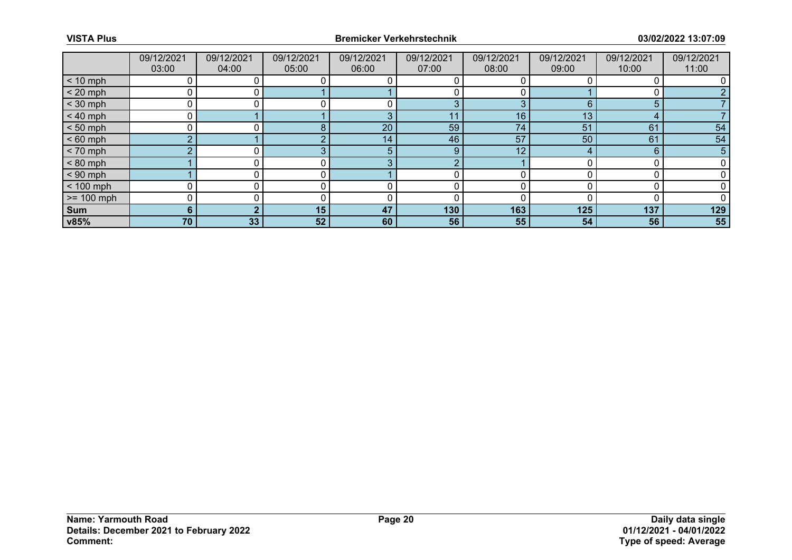|              | 09/12/2021<br>03:00 | 09/12/2021<br>04:00 | 09/12/2021<br>05:00 | 09/12/2021<br>06:00 | 09/12/2021<br>07:00 | 09/12/2021<br>08:00 | 09/12/2021<br>09:00 | 09/12/2021<br>10:00 | 09/12/2021 |
|--------------|---------------------|---------------------|---------------------|---------------------|---------------------|---------------------|---------------------|---------------------|------------|
|              |                     |                     |                     |                     |                     |                     |                     |                     | 11:00      |
| $< 10$ mph   |                     |                     |                     |                     |                     |                     |                     |                     |            |
| $< 20$ mph   |                     |                     |                     |                     |                     |                     |                     |                     |            |
| $<$ 30 mph   |                     |                     |                     |                     | 3                   | 3                   | 6                   | 5                   |            |
| $< 40$ mph   |                     |                     |                     | З                   | 11                  | 16                  | 13                  |                     |            |
| $< 50$ mph   |                     |                     | я                   | 20                  | 59                  | 74                  | 51                  | 61                  | 54         |
| $< 60$ mph   | <sup>n</sup>        |                     |                     | 14                  | 46                  | 57                  | 50                  | 61                  | 54         |
| $< 70$ mph   | $\sim$              |                     |                     | 5                   | 9                   | 12                  |                     | 6                   | 5          |
| $< 80$ mph   |                     |                     |                     | -2                  | ◠                   |                     |                     |                     |            |
| $< 90$ mph   |                     |                     |                     |                     |                     |                     |                     |                     |            |
| $< 100$ mph  |                     |                     |                     |                     |                     |                     |                     |                     |            |
| $>= 100$ mph |                     |                     |                     |                     | 0                   |                     |                     |                     |            |
| Sum          | 6                   |                     | 15                  | 47                  | 130                 | 163                 | 125                 | 137                 | 129        |
| v85%         | 70                  | 33                  | 52                  | 60                  | 56                  | 55                  | 54                  | 56                  | 55         |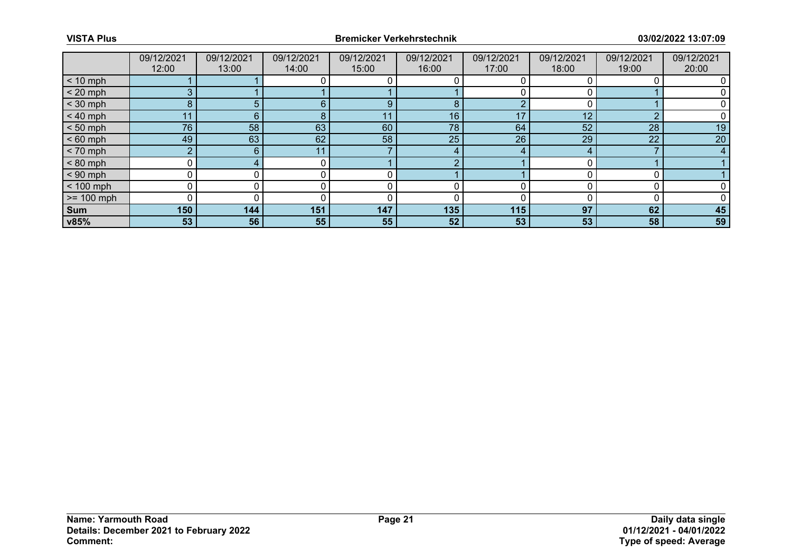|                 | 09/12/2021 | 09/12/2021 | 09/12/2021 | 09/12/2021 | 09/12/2021 | 09/12/2021 | 09/12/2021 | 09/12/2021 | 09/12/2021 |
|-----------------|------------|------------|------------|------------|------------|------------|------------|------------|------------|
|                 | 12:00      | 13:00      | 14:00      | 15:00      | 16:00      | 17:00      | 18:00      | 19:00      | 20:00      |
| $< 10$ mph      |            |            |            |            |            |            |            |            |            |
| $< 20$ mph      |            |            |            |            |            |            |            |            |            |
| $<$ 30 mph      | 8          |            | 6          | 9          | 8          |            |            |            |            |
| $< 40$ mph      | 11         | 6          |            | 11         | 16         | 17         | 12         | $\sim$     |            |
| $< 50$ mph      | 76         | 58         | 63         | 60         | 78         | 64         | 52         | 28         | 19         |
| $< 60$ mph      | 49         | 63         | 62         | 58         | 25         | 26         | 29         | 22         | 20         |
| $< 70$ mph      | ∩          | 6          | 11         |            | 4          |            |            |            |            |
| $< 80$ mph      |            |            |            |            |            |            |            |            |            |
| $< 90$ mph      |            |            |            |            |            |            |            |            |            |
| $< 100$ mph     |            |            |            |            |            |            |            |            |            |
| $\ge$ = 100 mph |            |            |            |            |            |            |            |            |            |
| Sum             | 150        | 144        | 151        | 147        | 135        | 115        | 97         | 62         | 45         |
| v85%            | 53         | 56         | 55         | 55         | 52         | 53         | 53         | 58         | 59         |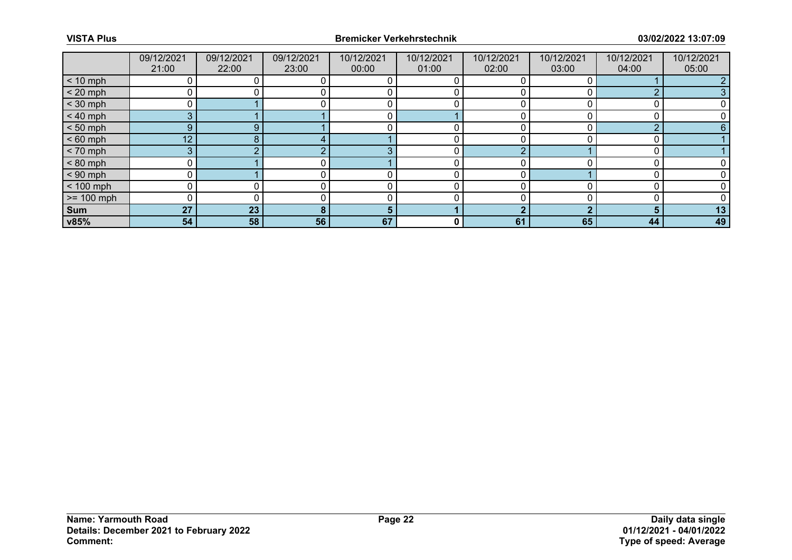|              | 09/12/2021      | 09/12/2021 | 09/12/2021 | 10/12/2021 | 10/12/2021 | 10/12/2021 | 10/12/2021 | 10/12/2021 | 10/12/2021 |
|--------------|-----------------|------------|------------|------------|------------|------------|------------|------------|------------|
|              | 21:00           | 22:00      | 23:00      | 00:00      | 01:00      | 02:00      | 03:00      | 04:00      | 05:00      |
| $< 10$ mph   |                 |            |            |            |            |            |            |            |            |
| $< 20$ mph   |                 |            |            |            |            |            |            | ◠          |            |
| $<$ 30 mph   |                 |            |            |            |            |            |            |            |            |
| $< 40$ mph   | 3.              |            |            |            |            |            |            |            |            |
| $< 50$ mph   | 9               | 9          |            |            |            |            |            | $\Omega$   |            |
| $< 60$ mph   | 12 <sup>7</sup> |            |            |            |            |            |            |            |            |
| $< 70$ mph   | 3               |            |            | -2         |            | $\Omega$   |            |            |            |
| $< 80$ mph   |                 |            |            |            |            |            |            |            |            |
| $< 90$ mph   |                 |            |            |            |            |            |            |            |            |
| $< 100$ mph  |                 |            |            |            |            |            |            |            |            |
| $>= 100$ mph |                 |            |            |            |            |            |            |            |            |
| Sum          | 27              | 23         |            | 5          |            | n          |            | n          | 13         |
| v85%         | 54              | 58         | 56         | 67         | 0          | 61         | 65         | 44         | 49         |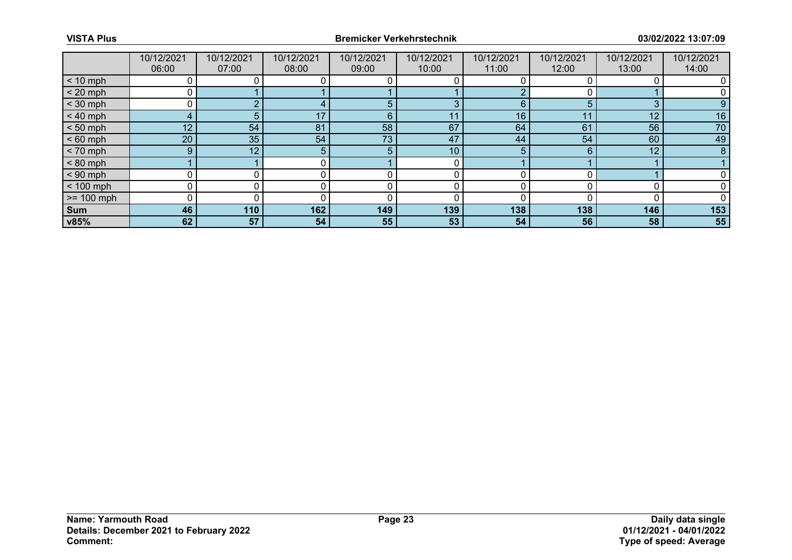|              | 10/12/2021      | 10/12/2021 | 10/12/2021 | 10/12/2021 | 10/12/2021      | 10/12/2021 | 10/12/2021 | 10/12/2021 | 10/12/2021 |
|--------------|-----------------|------------|------------|------------|-----------------|------------|------------|------------|------------|
|              | 06:00           | 07:00      | 08:00      | 09:00      | 10:00           | 11:00      | 12:00      | 13:00      | 14:00      |
| $< 10$ mph   |                 |            |            |            |                 |            |            |            |            |
| $< 20$ mph   |                 |            |            |            |                 |            |            |            |            |
| $<$ 30 mph   | 0               |            |            | 5          | 3               | 6          |            | 3          | 9          |
| $< 40$ mph   | 4               |            | 17         | 6          | 11              | 16         |            | 12         | 16         |
| $< 50$ mph   | 12 <sup>7</sup> | 54         | 81         | 58         | 67              | 64         | 61         | 56         | 70         |
| $< 60$ mph   | 20 <sub>1</sub> | 35         | 54         | 73         | 47              | 44         | 54         | 60         | 49         |
| $< 70$ mph   | 9 <sup>°</sup>  | 12         |            | 5          | 10 <sup>°</sup> | 5          |            | 12         | 8          |
| $< 80$ mph   |                 |            |            |            |                 |            |            |            |            |
| $< 90$ mph   | 0               |            |            |            |                 |            |            |            |            |
| $< 100$ mph  |                 |            |            |            |                 |            |            |            |            |
| $>= 100$ mph | 0               |            |            |            |                 |            |            |            |            |
| Sum          | 46              | 110        | 162        | 149        | 139             | 138        | 138        | 146        | 153        |
| v85%         | 62              | 57         | 54         | 55         | 53              | 54         | 56         | 58         | 55         |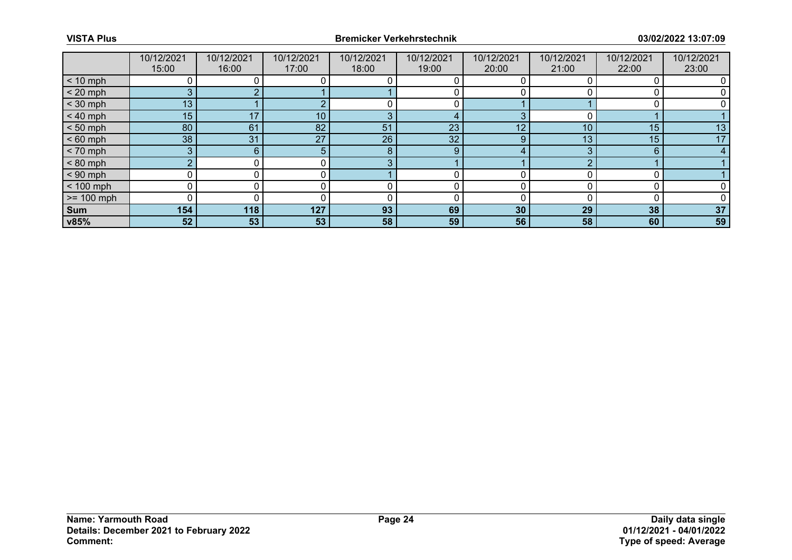|                 | 10/12/2021 | 10/12/2021 | 10/12/2021 | 10/12/2021 | 10/12/2021 | 10/12/2021 | 10/12/2021 | 10/12/2021 | 10/12/2021 |
|-----------------|------------|------------|------------|------------|------------|------------|------------|------------|------------|
|                 | 15:00      | 16:00      | 17:00      | 18:00      | 19:00      | 20:00      | 21:00      | 22:00      | 23:00      |
| $< 10$ mph      |            |            |            |            |            |            |            |            |            |
| $< 20$ mph      |            |            |            |            |            |            |            |            |            |
| $<$ 30 mph      | 13         |            |            |            |            |            |            |            |            |
| $< 40$ mph      | 15         | 17         | 10         | З          | 4          |            |            |            |            |
| $< 50$ mph      | 80         | 61         | 82         | 51         | 23         | 12         | 10         | 15         | 13         |
| $< 60$ mph      | 38         | 31         | 27         | 26         | 32         | 9          | 13         | 15         | 17         |
| $< 70$ mph      | 3          | 6          |            | 8          | 9          |            |            | 6          |            |
| $< 80$ mph      |            |            |            | З          |            |            |            |            |            |
| $< 90$ mph      |            |            |            |            |            |            |            |            |            |
| $< 100$ mph     |            |            |            |            |            |            |            |            |            |
| $\ge$ = 100 mph |            |            |            |            |            |            |            |            |            |
| Sum             | 154        | 118        | 127        | 93         | 69         | 30         | 29         | 38         | 37         |
| v85%            | 52         | 53         | 53         | 58         | 59         | 56         | 58         | 60         | 59         |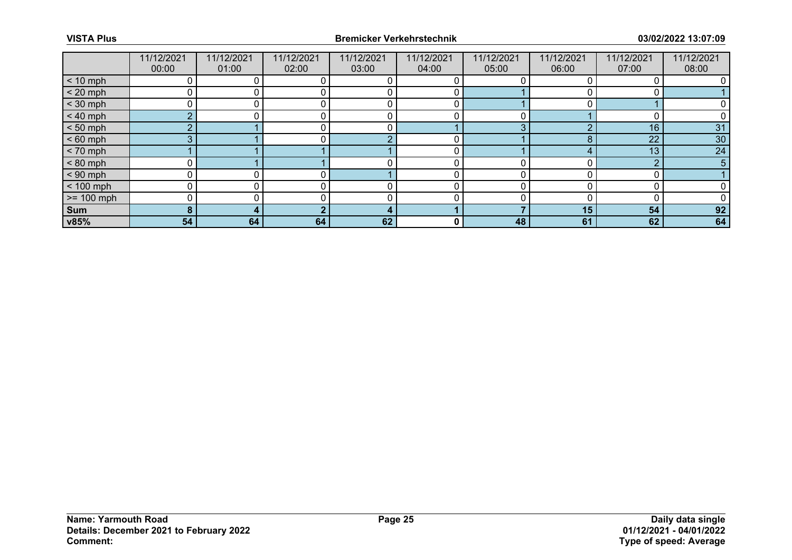|              | 11/12/2021 | 11/12/2021 | 11/12/2021 | 11/12/2021 | 11/12/2021 | 11/12/2021 | 11/12/2021 | 11/12/2021      | 11/12/2021 |
|--------------|------------|------------|------------|------------|------------|------------|------------|-----------------|------------|
|              | 00:00      | 01:00      | 02:00      | 03:00      | 04:00      | 05:00      | 06:00      | 07:00           | 08:00      |
| $< 10$ mph   |            |            |            |            |            |            |            |                 |            |
| $< 20$ mph   |            |            |            |            |            |            |            |                 |            |
| $<$ 30 mph   |            |            |            |            |            |            |            |                 |            |
| $< 40$ mph   | $\Omega$   |            |            |            |            | 0          |            |                 |            |
| $< 50$ mph   | $\sim$     |            |            |            |            | 3          |            | 16              | 31         |
| $< 60$ mph   | 3          |            |            |            |            |            |            | 22              | 30         |
| $< 70$ mph   |            |            |            |            |            |            |            | 13 <sup>°</sup> | 24         |
| $< 80$ mph   |            |            |            |            |            |            |            | $\sqrt{2}$      | 5          |
| $< 90$ mph   |            |            |            |            |            | n          |            |                 |            |
| $< 100$ mph  |            |            |            |            |            |            |            |                 |            |
| $>= 100$ mph |            |            |            |            |            |            |            |                 |            |
| Sum          |            |            |            |            |            |            | 15         | 54              | 92         |
| v85%         | 54         | 64         | 64         | 62         | 0          | 48         | 61         | 62              | 64         |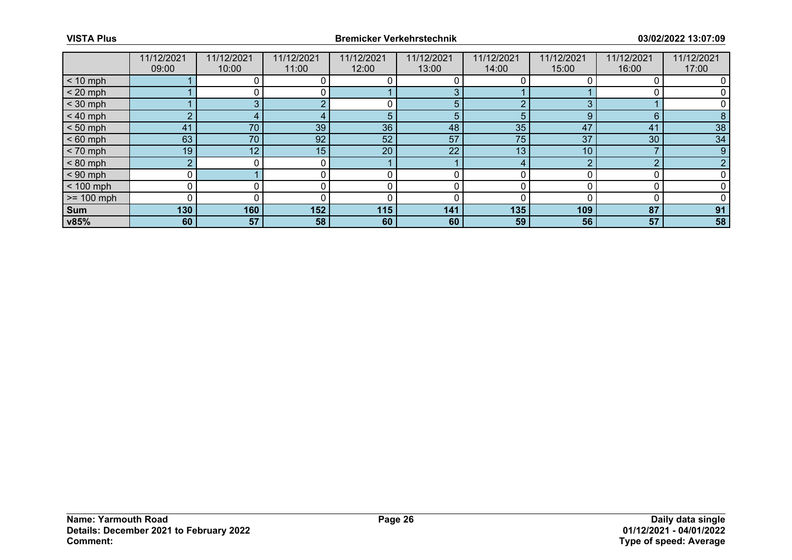|              | 11/12/2021 | 11/12/2021 | 11/12/2021 | 11/12/2021 | 11/12/2021   | 11/12/2021 | 11/12/2021 | 11/12/2021 | 11/12/2021 |
|--------------|------------|------------|------------|------------|--------------|------------|------------|------------|------------|
|              | 09:00      | 10:00      | 11:00      | 12:00      | 13:00        | 14:00      | 15:00      | 16:00      | 17:00      |
| $< 10$ mph   |            |            |            |            |              |            |            |            |            |
| $< 20$ mph   |            |            |            |            | 3            |            |            |            |            |
| $<$ 30 mph   |            | o.         |            |            | 5            |            |            |            |            |
| $< 40$ mph   | $\sim$     |            |            | 5          | 5            |            | g          | 6          |            |
| $< 50$ mph   | 41         | 70         | 39         | 36         | 48           | 35         | 47         | 41         | 38         |
| $< 60$ mph   | 63         | 70         | 92         | 52         | 57           | 75         | 37         | 30         | 34         |
| $< 70$ mph   | 19         | 12         | 15         | 20         | $22^{\circ}$ | 13         | 10         |            | 9          |
| $< 80$ mph   | C          |            |            |            |              |            | ⌒          | $\sqrt{2}$ |            |
| $< 90$ mph   | 0          |            |            |            |              |            |            |            |            |
| $< 100$ mph  | 0          |            |            |            |              |            |            |            |            |
| $>= 100$ mph | 0          |            |            |            |              |            |            |            |            |
| Sum          | 130        | 160        | 152        | 115        | 141          | 135        | 109        | 87         | 91         |
| v85%         | 60         | 57         | 58         | 60         | 60           | 59         | 56         | 57         | 58         |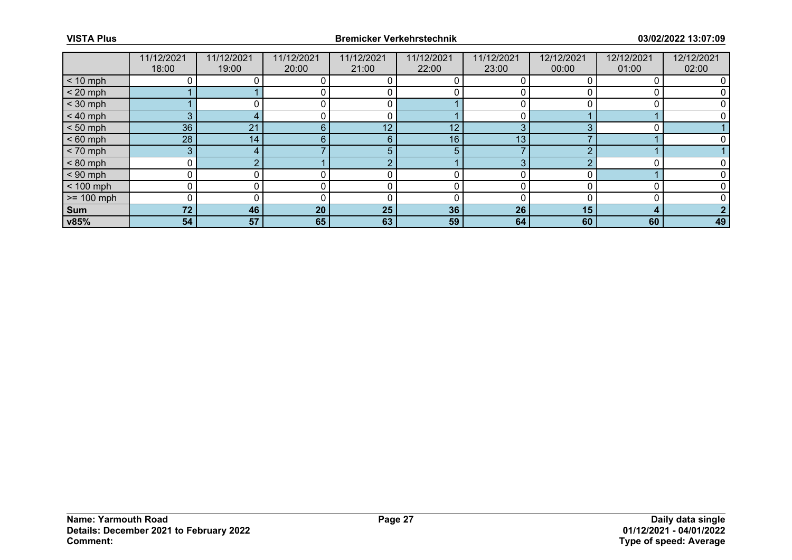|              | 11/12/2021 | 11/12/2021 | 11/12/2021 | 11/12/2021 | 11/12/2021      | 11/12/2021 | 12/12/2021 | 12/12/2021 | 12/12/2021 |
|--------------|------------|------------|------------|------------|-----------------|------------|------------|------------|------------|
|              | 18:00      | 19:00      | 20:00      | 21:00      | 22:00           | 23:00      | 00:00      | 01:00      | 02:00      |
| $< 10$ mph   |            |            |            |            |                 |            |            |            |            |
| $< 20$ mph   |            |            |            |            |                 |            |            |            |            |
| $<$ 30 mph   |            |            |            |            |                 |            |            |            |            |
| $< 40$ mph   | 3.         |            |            |            |                 |            |            |            |            |
| $< 50$ mph   | 36         | 21         | 6          | 12         | 12 <sub>1</sub> | 3          |            |            |            |
| $< 60$ mph   | 28         | 14         | 6          | 6          | 16              | 13         |            |            |            |
| $< 70$ mph   | 3          |            |            | 5          | 5               |            |            |            |            |
| $< 80$ mph   |            |            |            | r          |                 | 3          |            |            |            |
| $< 90$ mph   |            |            |            |            |                 |            |            |            |            |
| $< 100$ mph  |            |            |            |            |                 |            |            |            |            |
| $>= 100$ mph |            |            |            | C          | 0               |            |            |            |            |
| Sum          | 72         | 46         | 20         | 25         | 36              | 26         | 15         | л          |            |
| v85%         | 54         | 57         | 65         | 63         | 59              | 64         | 60         | 60         | 49         |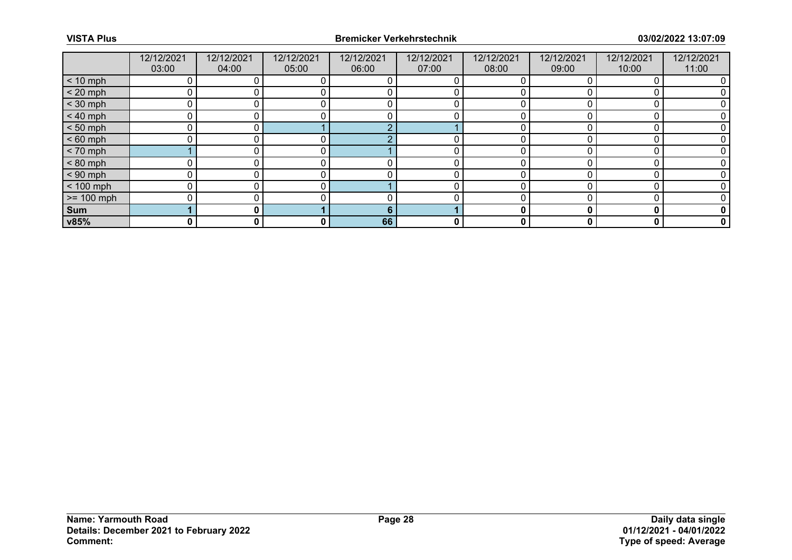|              | 12/12/2021 | 12/12/2021 | 12/12/2021 | 12/12/2021 | 12/12/2021 | 12/12/2021 | 12/12/2021 | 12/12/2021 | 12/12/2021 |
|--------------|------------|------------|------------|------------|------------|------------|------------|------------|------------|
|              | 03:00      | 04:00      | 05:00      | 06:00      | 07:00      | 08:00      | 09:00      | 10:00      | 11:00      |
| $< 10$ mph   |            |            |            |            |            |            |            |            |            |
| $< 20$ mph   |            |            |            |            |            |            |            |            |            |
| $<$ 30 mph   |            |            |            |            |            |            |            |            |            |
| $< 40$ mph   |            |            |            |            |            |            |            |            |            |
| $< 50$ mph   |            |            |            |            |            |            |            |            |            |
| $< 60$ mph   |            |            |            |            |            |            |            |            |            |
| $< 70$ mph   |            |            |            |            |            | ∩          |            |            |            |
| $< 80$ mph   |            |            |            |            |            |            |            |            |            |
| $< 90$ mph   | $\Omega$   |            |            |            |            | ∩          |            |            |            |
| $< 100$ mph  |            |            |            |            |            |            |            |            |            |
| $>= 100$ mph |            |            |            |            |            |            |            |            |            |
| Sum          |            |            |            | 6          |            |            |            | C          |            |
| v85%         | 0          | 0          | 0          | 66         | 0          | 0          |            | 0          | 0          |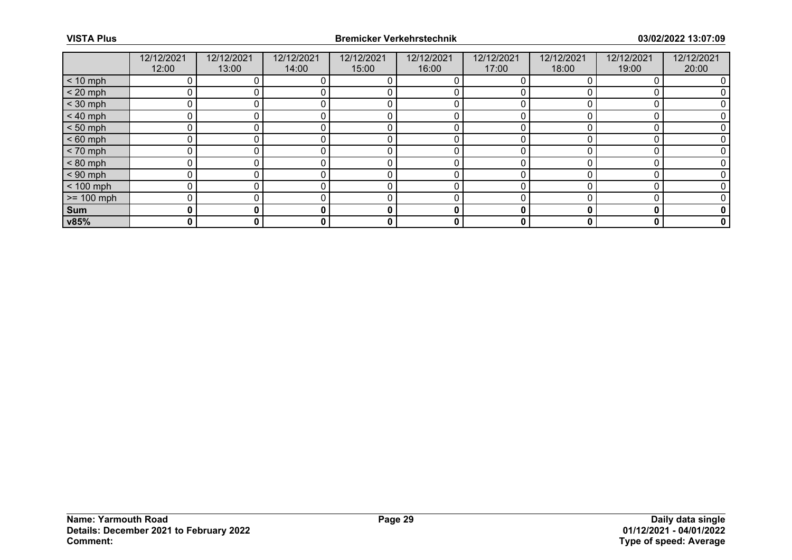|              | 12/12/2021 | 12/12/2021 | 12/12/2021 | 12/12/2021 | 12/12/2021 | 12/12/2021 | 12/12/2021 | 12/12/2021 | 12/12/2021  |
|--------------|------------|------------|------------|------------|------------|------------|------------|------------|-------------|
|              | 12:00      | 13:00      | 14:00      | 15:00      | 16:00      | 17:00      | 18:00      | 19:00      | 20:00       |
| $< 10$ mph   | 0          |            |            |            |            |            |            |            |             |
| $< 20$ mph   |            |            |            |            |            |            |            |            |             |
| $<$ 30 mph   | ∩          |            |            |            |            |            |            |            |             |
| $< 40$ mph   | ∩          |            |            |            |            |            |            |            |             |
| $< 50$ mph   |            |            |            |            |            |            |            |            |             |
| $< 60$ mph   |            |            |            |            |            |            |            |            |             |
| $< 70$ mph   |            |            |            |            |            |            |            |            |             |
| $< 80$ mph   |            |            |            |            |            |            |            |            |             |
| $< 90$ mph   | U          |            |            |            |            |            |            |            |             |
| $< 100$ mph  | 0          |            |            |            |            |            |            |            |             |
| $>= 100$ mph | $\Omega$   |            |            |            |            |            |            |            |             |
| Sum          | 0          |            |            | 0          | 0          |            |            | О          | 0           |
| v85%         | 0          | 0          | 0          | 0          | 0          | 0          | 0          | 0          | $\mathbf 0$ |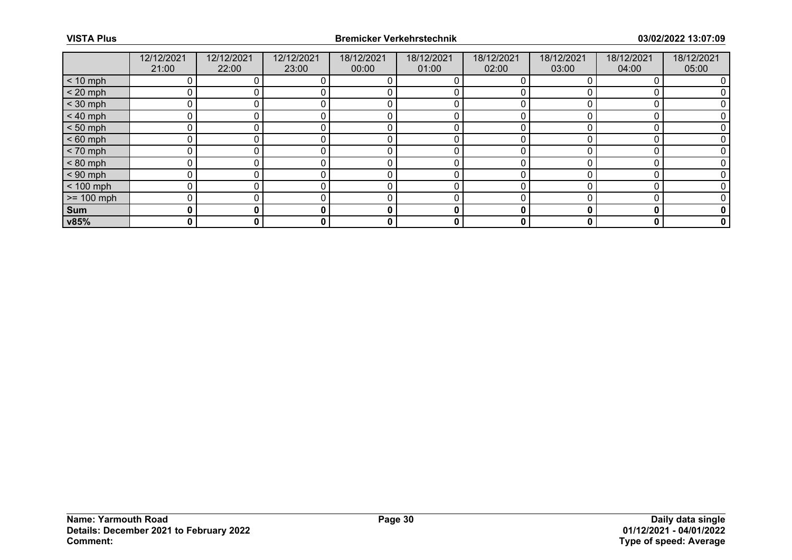|              | 12/12/2021 | 12/12/2021 | 12/12/2021 | 18/12/2021 | 18/12/2021 | 18/12/2021 | 18/12/2021 | 18/12/2021 | 18/12/2021  |
|--------------|------------|------------|------------|------------|------------|------------|------------|------------|-------------|
|              | 21:00      | 22:00      | 23:00      | 00:00      | 01:00      | 02:00      | 03:00      | 04:00      | 05:00       |
| $< 10$ mph   |            |            |            |            |            |            |            |            |             |
| $< 20$ mph   |            |            |            |            |            |            |            |            |             |
| $<$ 30 mph   | ∩          |            |            |            |            |            |            |            |             |
| $< 40$ mph   |            |            |            |            |            |            |            |            |             |
| $< 50$ mph   |            |            |            |            |            |            |            |            |             |
| $< 60$ mph   |            |            |            |            |            |            |            |            |             |
| $< 70$ mph   |            |            |            |            |            |            |            |            |             |
| $< 80$ mph   |            |            |            |            |            |            |            |            |             |
| $< 90$ mph   | U          |            |            |            |            |            |            |            |             |
| $< 100$ mph  | ∩          |            |            |            |            |            |            |            |             |
| $>= 100$ mph | $\Omega$   |            |            |            |            |            |            |            |             |
| Sum          | 0          |            |            | 0          | 0          |            |            |            | 0           |
| v85%         | 0          | 0          | 0          | 0          | 0          | 0          | 0          | 0          | $\mathbf 0$ |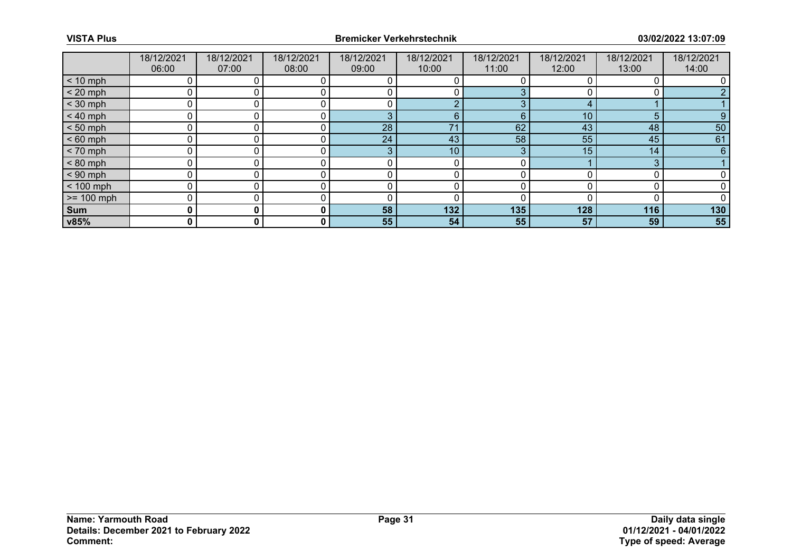|              | 18/12/2021 | 18/12/2021 | 18/12/2021 | 18/12/2021 | 18/12/2021      | 18/12/2021 | 18/12/2021 | 18/12/2021      | 18/12/2021 |
|--------------|------------|------------|------------|------------|-----------------|------------|------------|-----------------|------------|
|              | 06:00      | 07:00      | 08:00      | 09:00      | 10:00           | 11:00      | 12:00      | 13:00           | 14:00      |
| $< 10$ mph   |            |            |            |            |                 |            |            |                 |            |
| $< 20$ mph   |            |            |            |            |                 |            |            |                 |            |
| $<$ 30 mph   |            |            |            |            | $\Omega$        | ∩          |            |                 |            |
| $< 40$ mph   |            |            |            | 3          | 6               | 6          | 10         | 5               |            |
| $< 50$ mph   |            |            |            | 28         | 71              | 62         | 43         | 48              | 50         |
| $< 60$ mph   |            |            |            | 24         | 43              | 58         | 55         | 45              | 61         |
| $< 70$ mph   |            |            |            | 3          | 10 <sup>°</sup> | 3          | 15         | 14 <sub>1</sub> | 6          |
| $< 80$ mph   |            |            |            |            |                 |            |            | 3               |            |
| $< 90$ mph   |            |            |            |            |                 |            |            |                 |            |
| $< 100$ mph  |            |            |            |            |                 |            |            |                 |            |
| $>= 100$ mph |            |            |            |            |                 |            |            |                 |            |
| Sum          |            |            |            | 58         | 132             | 135        | 128        | 116             | 130        |
| v85%         | 0          | 0          | 0          | 55         | 54              | 55         | 57         | 59              | 55         |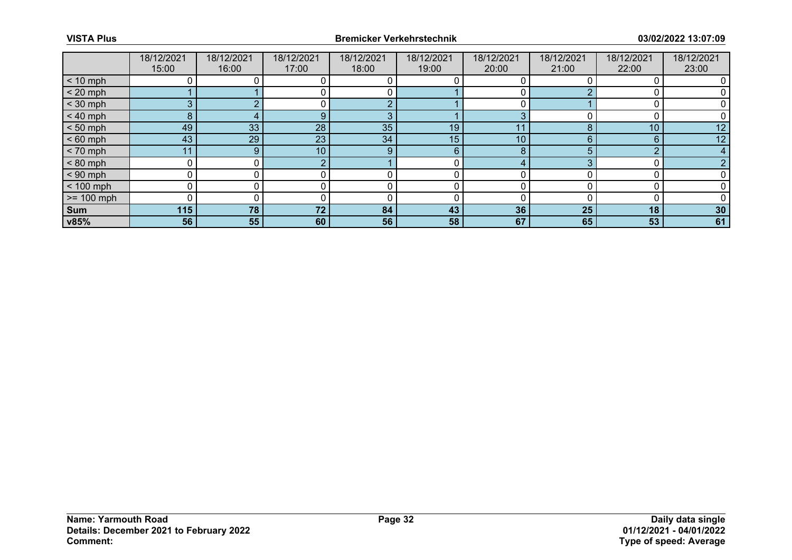|                 | 18/12/2021 | 18/12/2021 | 18/12/2021 | 18/12/2021 | 18/12/2021 | 18/12/2021      | 18/12/2021 | 18/12/2021 | 18/12/2021      |
|-----------------|------------|------------|------------|------------|------------|-----------------|------------|------------|-----------------|
|                 | 15:00      | 16:00      | 17:00      | 18:00      | 19:00      | 20:00           | 21:00      | 22:00      | 23:00           |
| $< 10$ mph      |            |            |            |            |            |                 |            |            |                 |
| $< 20$ mph      |            |            |            |            |            |                 |            |            |                 |
| $<$ 30 mph      |            |            |            |            |            |                 |            |            |                 |
| $< 40$ mph      | 8          |            |            | З          |            |                 |            |            |                 |
| $< 50$ mph      | 49         | 33         | 28         | 35         | 19         |                 |            | 10         | 12 <sup>°</sup> |
| $< 60$ mph      | 43         | 29         | 23         | 34         | 15         | 10 <sup>1</sup> |            | 6          | 12              |
| $< 70$ mph      | 11         | 9          | 10         | 9          | 6          | 8               |            | $\sim$     |                 |
| $< 80$ mph      |            |            |            |            |            |                 |            |            |                 |
| $< 90$ mph      |            |            |            |            |            |                 |            |            |                 |
| $< 100$ mph     |            |            |            |            |            |                 |            |            |                 |
| $\ge$ = 100 mph |            |            |            |            |            |                 |            |            |                 |
| Sum             | 115        | 78         | 72         | 84         | 43         | 36              | 25         | 18         | 30 <sup>°</sup> |
| v85%            | 56         | 55         | 60         | 56         | 58         | 67              | 65         | 53         | 61              |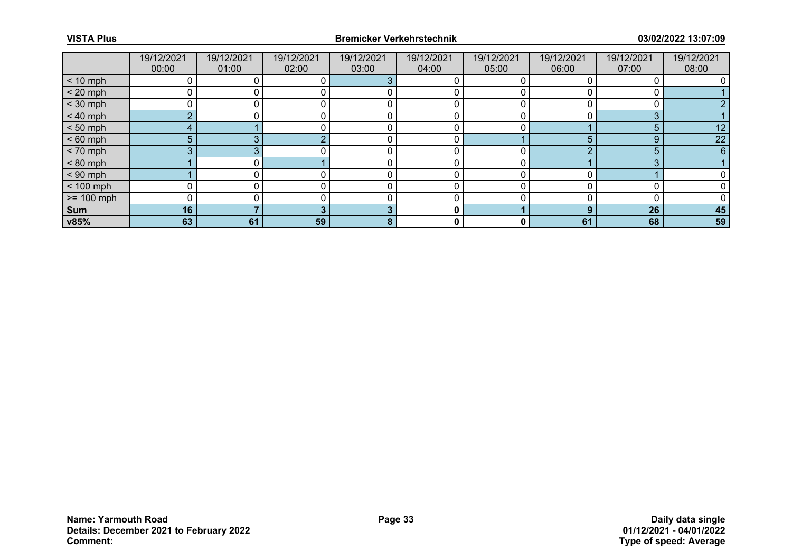|              | 19/12/2021 | 19/12/2021 | 19/12/2021 | 19/12/2021 | 19/12/2021 | 19/12/2021 | 19/12/2021 | 19/12/2021 | 19/12/2021 |
|--------------|------------|------------|------------|------------|------------|------------|------------|------------|------------|
|              | 00:00      | 01:00      | 02:00      | 03:00      | 04:00      | 05:00      | 06:00      | 07:00      | 08:00      |
| $< 10$ mph   |            |            |            |            |            |            |            |            |            |
| $< 20$ mph   |            |            |            |            |            |            |            |            |            |
| $<$ 30 mph   |            |            |            |            |            |            |            |            |            |
| $< 40$ mph   | $\sim$     |            |            |            |            |            |            | ◠          |            |
| $< 50$ mph   |            |            |            |            |            |            |            |            | 12         |
| $< 60$ mph   | 5          |            |            |            |            |            |            | 9          | 22         |
| $< 70$ mph   | 3          |            |            |            |            | ∩          |            | 5          | 6          |
| $< 80$ mph   |            |            |            |            |            |            |            | ◠          |            |
| $< 90$ mph   |            |            |            |            |            | ∩          |            |            |            |
| $< 100$ mph  |            |            |            |            |            |            |            |            |            |
| $>= 100$ mph |            |            |            |            |            |            |            |            |            |
| Sum          | 16         |            |            | ю          | 0          |            |            | 26         | 45         |
| v85%         | 63         | 61         | 59         | 8          | 0          | 0          | 61         | 68         | 59         |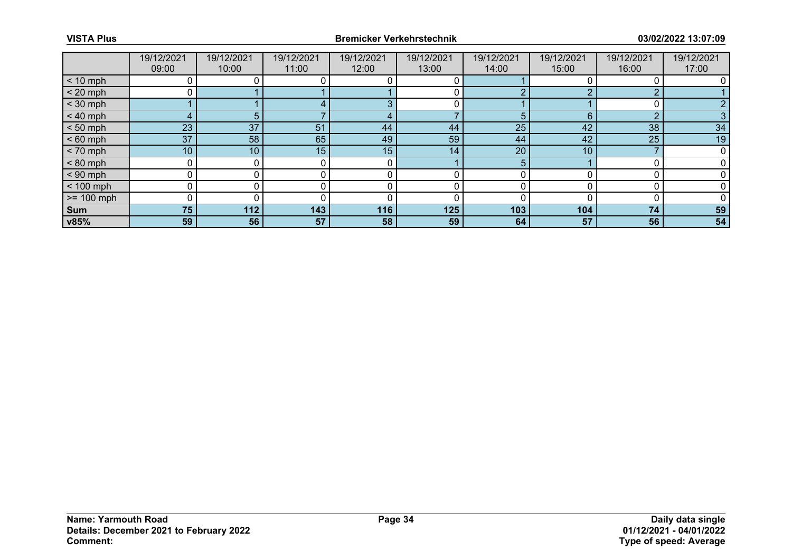|              | 19/12/2021      | 19/12/2021 | 19/12/2021 | 19/12/2021 | 19/12/2021 | 19/12/2021 | 19/12/2021 | 19/12/2021 | 19/12/2021 |
|--------------|-----------------|------------|------------|------------|------------|------------|------------|------------|------------|
|              | 09:00           | 10:00      | 11:00      | 12:00      | 13:00      | 14:00      | 15:00      | 16:00      | 17:00      |
| $< 10$ mph   |                 |            |            |            |            |            |            |            |            |
| $< 20$ mph   |                 |            |            |            |            |            |            | ົ          |            |
| $<$ 30 mph   |                 |            |            |            |            |            |            |            |            |
| $< 40$ mph   |                 |            |            |            |            | 5.         |            | $\Omega$   |            |
| $< 50$ mph   | 23              | 37         | 51         | 44         | 44         | 25         | 42         | 38         | 34         |
| $< 60$ mph   | 37              | 58         | 65         | 49         | 59         | 44         | 42         | 25         | 19         |
| $< 70$ mph   | 10 <sup>°</sup> | 10         | 15         | 15         | 14         | 20         | 10         |            |            |
| $< 80$ mph   |                 |            |            |            |            | 5          |            |            |            |
| $< 90$ mph   |                 |            |            |            |            |            |            |            |            |
| $< 100$ mph  |                 |            |            |            |            |            |            |            |            |
| $>= 100$ mph |                 |            |            |            |            |            |            |            |            |
| Sum          | 75              | 112        | 143        | 116        | 125        | 103        | 104        | 74         | 59         |
| v85%         | 59              | 56         | 57         | 58         | 59         | 64         | 57         | 56         | 54         |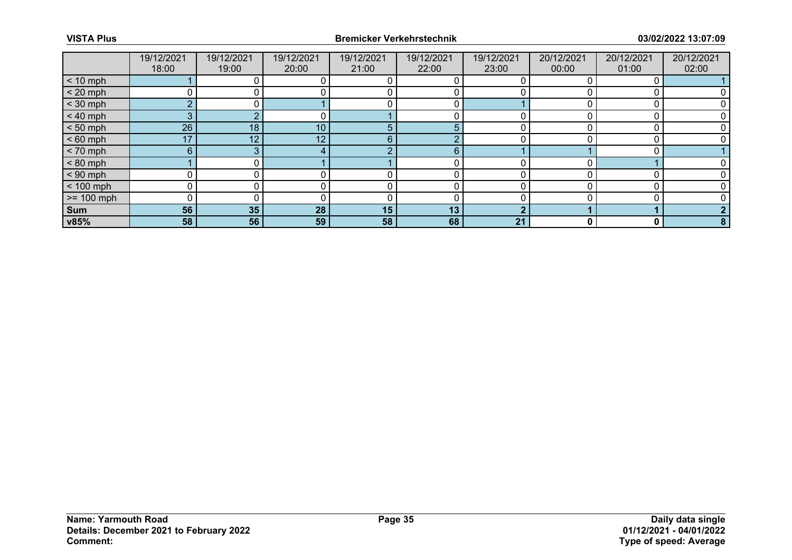|                 | 19/12/2021 | 19/12/2021 | 19/12/2021 | 19/12/2021 | 19/12/2021 | 19/12/2021 | 20/12/2021 | 20/12/2021 | 20/12/2021 |
|-----------------|------------|------------|------------|------------|------------|------------|------------|------------|------------|
|                 | 18:00      | 19:00      | 20:00      | 21:00      | 22:00      | 23:00      | 00:00      | 01:00      | 02:00      |
| $< 10$ mph      |            |            |            |            |            |            |            |            |            |
| $< 20$ mph      |            |            |            |            |            |            |            |            |            |
| $<$ 30 mph      | ⌒          |            |            |            |            |            |            |            |            |
| $< 40$ mph      |            |            |            |            |            |            |            |            |            |
| $< 50$ mph      | 26         | 18         | 10         | 5          | 5          |            |            |            |            |
| $< 60$ mph      | 17         | 12         | 12         | 6          |            |            |            |            |            |
| $< 70$ mph      | 6          | $\sim$     |            |            | 6          |            |            |            |            |
| $< 80$ mph      |            |            |            |            |            |            |            |            |            |
| $< 90$ mph      |            |            |            |            |            |            |            |            |            |
| $< 100$ mph     |            |            |            |            |            |            |            |            |            |
| $\ge$ = 100 mph |            |            |            |            |            |            |            |            |            |
| Sum             | 56         | 35         | 28         | 15         | 13         |            |            |            |            |
| v85%            | 58         | 56         | 59         | 58         | 68         | 21         |            | 0          | 8          |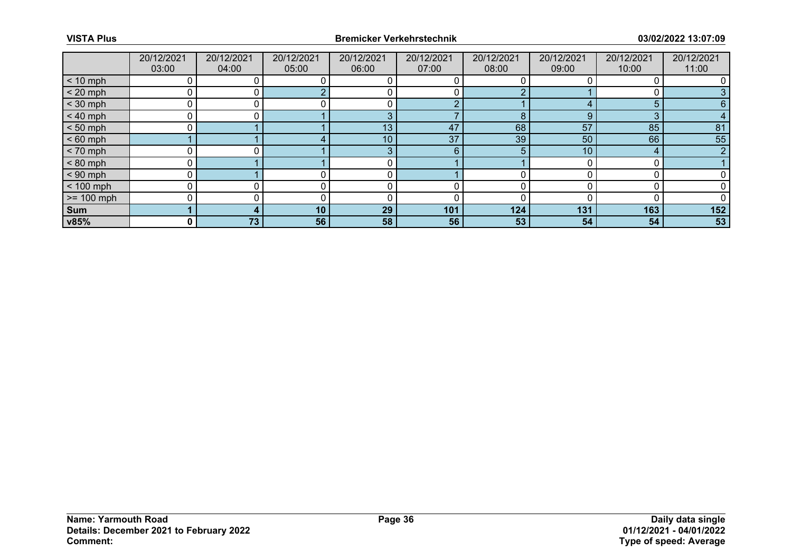|              | 20/12/2021   | 20/12/2021 | 20/12/2021      | 20/12/2021 | 20/12/2021 | 20/12/2021 | 20/12/2021 | 20/12/2021 | 20/12/2021 |
|--------------|--------------|------------|-----------------|------------|------------|------------|------------|------------|------------|
|              | 03:00        | 04:00      | 05:00           | 06:00      | 07:00      | 08:00      | 09:00      | 10:00      | 11:00      |
| $< 10$ mph   |              |            |                 |            |            |            |            |            |            |
| $< 20$ mph   |              |            |                 |            |            |            |            |            |            |
| $<$ 30 mph   | 0            |            |                 |            | $\sim$     |            |            | 5          | 6          |
| $< 40$ mph   | $\Omega$     |            |                 | 3          |            |            |            | $\Omega$   |            |
| $< 50$ mph   |              |            |                 | 13         | 47         | 68         | 57         | 85         | 81         |
| $< 60$ mph   |              |            |                 | 10         | 37         | 39         | 50         | 66         | 55         |
| $< 70$ mph   | 0            |            |                 | 3          | 6          | 5          | 10         | $\Delta$   | $\sim$     |
| $< 80$ mph   |              |            |                 |            |            |            |            |            |            |
| $< 90$ mph   | 0            |            |                 |            |            |            |            |            |            |
| $< 100$ mph  |              |            |                 |            |            |            |            |            |            |
| $>= 100$ mph | U            |            |                 |            |            |            |            |            |            |
| Sum          |              |            | 10 <sub>1</sub> | 29         | 101        | 124        | 131        | 163        | 152        |
| v85%         | $\mathbf{0}$ | 73         | 56              | 58         | 56         | 53         | 54         | 54         | 53         |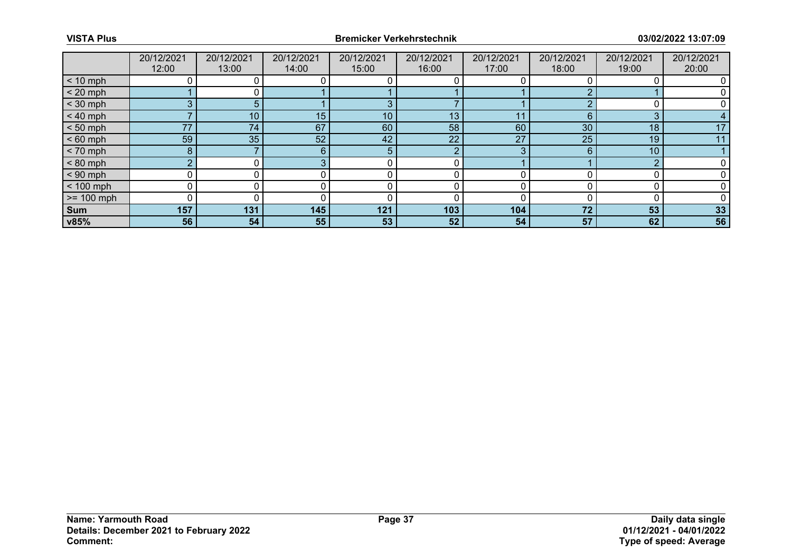|              | 20/12/2021 | 20/12/2021      | 20/12/2021 | 20/12/2021 | 20/12/2021   | 20/12/2021 | 20/12/2021 | 20/12/2021 | 20/12/2021 |
|--------------|------------|-----------------|------------|------------|--------------|------------|------------|------------|------------|
|              | 12:00      | 13:00           | 14:00      | 15:00      | 16:00        | 17:00      | 18:00      | 19:00      | 20:00      |
| $< 10$ mph   |            |                 |            |            |              |            |            |            |            |
| $< 20$ mph   |            |                 |            |            |              |            |            |            |            |
| $<$ 30 mph   | 3          | 5.              |            | 3          |              |            |            |            |            |
| $< 40$ mph   |            | 10 <sub>1</sub> | 15         | 10         | 13           |            |            | 3          |            |
| $< 50$ mph   | 77         | 74              | 67         | 60         | 58           | 60         | 30         | 18         | 17         |
| $< 60$ mph   | 59         | 35 <sub>1</sub> | 52         | 42         | $22^{\circ}$ | 27         | 25         | 19         |            |
| $< 70$ mph   | 8          |                 | 6          | 5          | <sub>o</sub> | 3          |            | 10         |            |
| $< 80$ mph   | $\sim$     |                 |            |            |              |            |            | $\sqrt{2}$ |            |
| $< 90$ mph   | 0          |                 |            |            |              |            |            |            |            |
| $< 100$ mph  |            |                 |            |            |              |            |            |            |            |
| $>= 100$ mph | 0          |                 |            |            |              |            |            |            |            |
| Sum          | 157        | 131             | 145        | 121        | 103          | 104        | 72         | 53         | 33         |
| v85%         | 56         | 54              | 55         | 53         | 52           | 54         | 57         | 62         | 56         |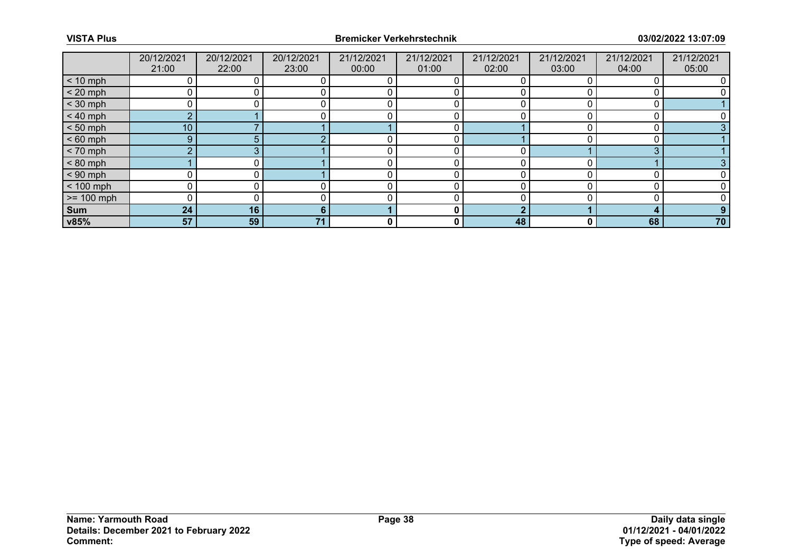|              | 20/12/2021      | 20/12/2021 | 20/12/2021 | 21/12/2021 | 21/12/2021 | 21/12/2021 | 21/12/2021 | 21/12/2021 | 21/12/2021 |
|--------------|-----------------|------------|------------|------------|------------|------------|------------|------------|------------|
|              | 21:00           | 22:00      | 23:00      | 00:00      | 01:00      | 02:00      | 03:00      | 04:00      | 05:00      |
| $< 10$ mph   |                 |            |            |            |            |            |            |            |            |
| $< 20$ mph   |                 |            |            |            |            |            |            |            |            |
| $<$ 30 mph   |                 |            |            |            |            |            |            |            |            |
| $< 40$ mph   | $\overline{2}$  |            |            |            |            |            |            |            |            |
| $< 50$ mph   | 10 <sup>°</sup> |            |            |            |            |            |            |            |            |
| $< 60$ mph   | 9               |            |            |            |            |            |            |            |            |
| $< 70$ mph   | $\overline{2}$  |            |            |            |            |            |            | 3          |            |
| $< 80$ mph   |                 |            |            |            |            |            |            |            |            |
| $< 90$ mph   |                 |            |            |            |            |            |            |            |            |
| $< 100$ mph  |                 |            |            |            |            |            |            |            |            |
| $>= 100$ mph |                 |            |            |            |            |            |            |            |            |
| Sum          | 24              | 16         | n          |            | 0          | n          |            | л          |            |
| v85%         | 57              | 59         | 71         | 0          | 0          | 48         | 0          | 68         | 70         |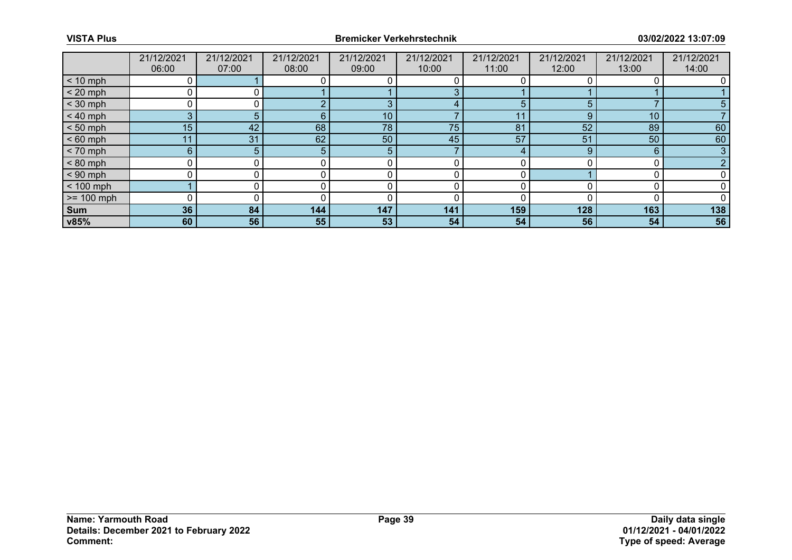|              | 21/12/2021  | 21/12/2021 | 21/12/2021 | 21/12/2021 | 21/12/2021 | 21/12/2021 | 21/12/2021 | 21/12/2021      | 21/12/2021 |
|--------------|-------------|------------|------------|------------|------------|------------|------------|-----------------|------------|
|              | 06:00       | 07:00      | 08:00      | 09:00      | 10:00      | 11:00      | 12:00      | 13:00           | 14:00      |
| $< 10$ mph   |             |            |            |            |            |            |            |                 |            |
| $< 20$ mph   |             |            |            |            | $\sim$     |            |            |                 |            |
| $<$ 30 mph   |             |            |            | 3          | 4          | 5          |            |                 |            |
| $< 40$ mph   | 3           |            | 6          | 10         |            |            |            | 10 <sub>1</sub> |            |
| $< 50$ mph   | 15          | 42         | 68         | 78         | 75         | 81         | 52         | 89              | 60         |
| $< 60$ mph   | 11          | 31         | 62         | 50         | 45         | 57         | 51         | 50              | 60         |
| $< 70$ mph   | $6^{\circ}$ |            |            | 5          |            | $\Delta$   | 9          | 6               |            |
| $< 80$ mph   |             |            |            |            |            |            |            |                 |            |
| $< 90$ mph   |             |            |            |            |            |            |            |                 |            |
| $< 100$ mph  |             |            |            |            |            |            |            |                 |            |
| $>= 100$ mph |             |            |            |            |            |            |            |                 |            |
| Sum          | 36          | 84         | 144        | 147        | 141        | 159        | 128        | 163             | 138        |
| v85%         | 60          | 56         | 55         | 53         | 54         | 54         | 56         | 54              | 56         |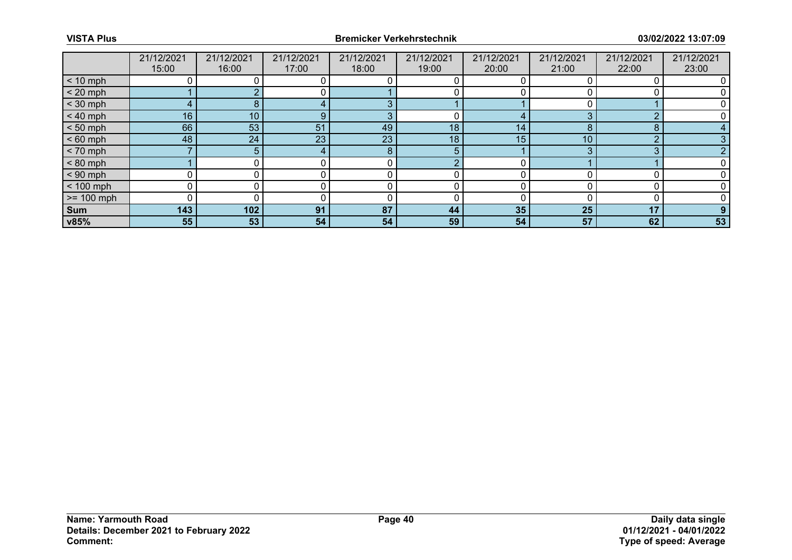|              | 21/12/2021      | 21/12/2021 | 21/12/2021 | 21/12/2021 | 21/12/2021 | 21/12/2021 | 21/12/2021 | 21/12/2021 | 21/12/2021 |
|--------------|-----------------|------------|------------|------------|------------|------------|------------|------------|------------|
|              | 15:00           | 16:00      | 17:00      | 18:00      | 19:00      | 20:00      | 21:00      | 22:00      | 23:00      |
| $< 10$ mph   |                 |            |            |            |            |            |            |            |            |
| $< 20$ mph   |                 |            |            |            |            |            |            |            |            |
| $<$ 30 mph   |                 |            |            |            |            |            |            |            |            |
| $< 40$ mph   | 16 <sub>1</sub> | 10         |            | ≏          |            |            |            | ◠          |            |
| $< 50$ mph   | 66              | 53         | 51         | 49         | 18         | 14         |            | 8          |            |
| $< 60$ mph   | 48              | 24         | 23         | 23         | 18         | 15         | 10         | $\Omega$   |            |
| $< 70$ mph   |                 |            |            | 8          | 5          |            |            | 3          |            |
| $< 80$ mph   |                 |            |            |            | $\sqrt{ }$ |            |            |            |            |
| $< 90$ mph   |                 |            |            |            |            |            |            |            |            |
| $< 100$ mph  |                 |            |            |            |            |            |            |            |            |
| $>= 100$ mph |                 |            |            |            |            |            |            |            |            |
| Sum          | 143             | 102        | 91         | 87         | 44         | 35         | 25         | 17         |            |
| v85%         | 55              | 53         | 54         | 54         | 59         | 54         | 57         | 62         | 53         |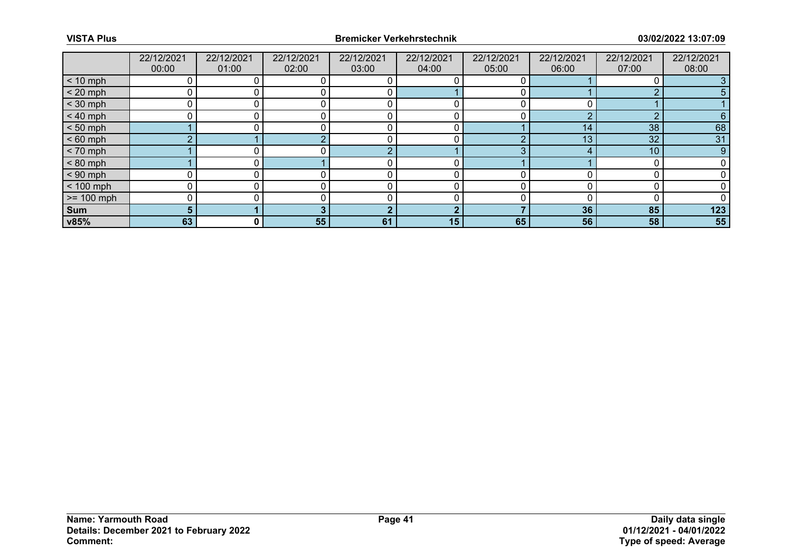|              | 22/12/2021 | 22/12/2021 | 22/12/2021 | 22/12/2021 | 22/12/2021 | 22/12/2021 | 22/12/2021 | 22/12/2021      | 22/12/2021 |
|--------------|------------|------------|------------|------------|------------|------------|------------|-----------------|------------|
|              | 00:00      | 01:00      | 02:00      | 03:00      | 04:00      | 05:00      | 06:00      | 07:00           | 08:00      |
| $< 10$ mph   |            |            |            |            |            |            |            |                 |            |
| $< 20$ mph   | 0          |            |            |            |            |            |            |                 |            |
| $<$ 30 mph   | 0          |            |            |            |            |            |            |                 |            |
| $< 40$ mph   |            |            |            |            |            |            |            |                 | 6.         |
| $< 50$ mph   |            |            |            |            |            |            | 14         | 38              | 68         |
| $< 60$ mph   | $\sim$     |            |            |            |            |            | 13         | 32 <sup>°</sup> | 31         |
| $< 70$ mph   |            |            |            |            |            |            |            | 10              | 9          |
| $< 80$ mph   |            |            |            |            |            |            |            |                 |            |
| $< 90$ mph   | $\Omega$   |            |            |            |            |            |            |                 |            |
| $< 100$ mph  |            |            |            |            |            |            |            |                 |            |
| $>= 100$ mph | 0          |            |            |            |            |            |            |                 |            |
| Sum          | 5.         |            |            |            |            |            | 36         | 85              | 123        |
| v85%         | 63         | 0 I        | 55         | 61         | 15         | 65         | 56         | 58              | 55         |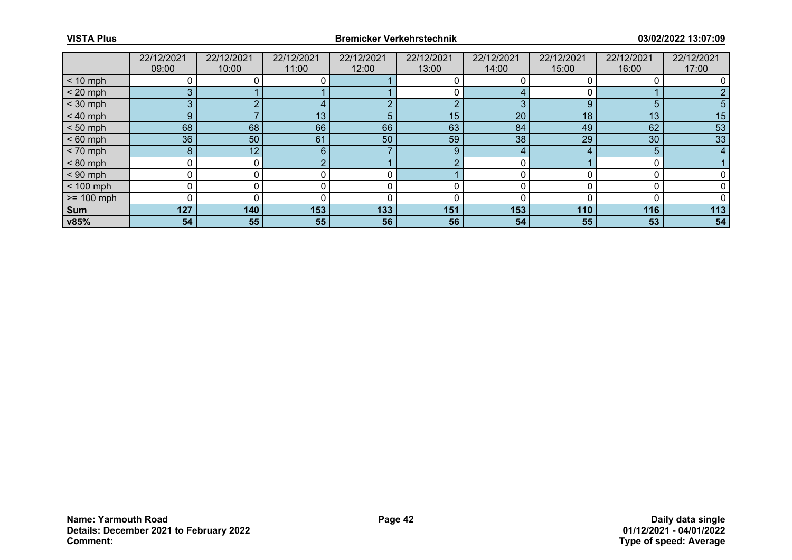|              | 22/12/2021 | 22/12/2021 | 22/12/2021 | 22/12/2021 | 22/12/2021 | 22/12/2021 | 22/12/2021 | 22/12/2021      | 22/12/2021 |
|--------------|------------|------------|------------|------------|------------|------------|------------|-----------------|------------|
|              | 09:00      | 10:00      | 11:00      | 12:00      | 13:00      | 14:00      | 15:00      | 16:00           | 17:00      |
| $< 10$ mph   |            |            |            |            |            |            |            |                 |            |
| $< 20$ mph   |            |            |            |            |            |            |            |                 |            |
| $<$ 30 mph   | 3          |            |            |            | ◠          |            | 9          | 5               |            |
| $< 40$ mph   | 9          |            | 13         |            | 15         | 20         | 18         | 13 <sub>1</sub> | 15         |
| $< 50$ mph   | 68         | 68         | 66         | 66         | 63         | 84         | 49         | 62              | 53         |
| $< 60$ mph   | 36         | 50         | 61         | 50         | 59         | 38         | 29         | 30              | 33         |
| $< 70$ mph   | 8          | 12         | 6          |            | 9          | $\Delta$   |            | 5               |            |
| $< 80$ mph   |            |            |            |            |            |            |            |                 |            |
| $< 90$ mph   |            |            |            |            |            |            |            |                 |            |
| $< 100$ mph  |            |            |            |            |            |            |            |                 |            |
| $>= 100$ mph |            |            |            |            |            |            |            |                 |            |
| Sum          | 127        | 140        | 153        | 133        | 151        | 153        | 110        | 116             | 113        |
| v85%         | 54         | 55         | 55         | 56         | 56         | 54         | 55         | 53              | 54         |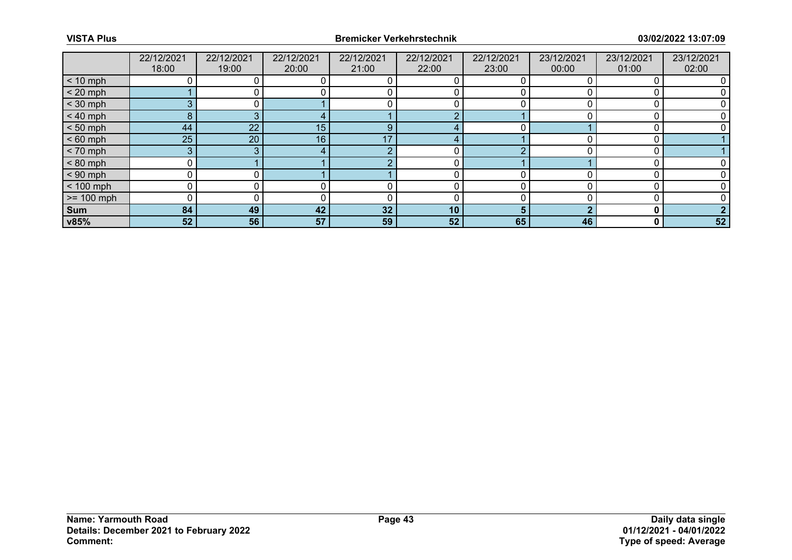|                 | 22/12/2021 | 22/12/2021 | 22/12/2021 | 22/12/2021 | 22/12/2021      | 22/12/2021 | 23/12/2021 | 23/12/2021 | 23/12/2021 |
|-----------------|------------|------------|------------|------------|-----------------|------------|------------|------------|------------|
|                 | 18:00      | 19:00      | 20:00      | 21:00      | 22:00           | 23:00      | 00:00      | 01:00      | 02:00      |
| $< 10$ mph      |            |            |            |            |                 |            |            |            |            |
| $< 20$ mph      |            |            |            |            |                 |            |            |            |            |
| $<$ 30 mph      |            |            |            |            |                 |            |            |            |            |
| $< 40$ mph      | 8.         |            |            |            |                 |            |            |            |            |
| $< 50$ mph      | 44         | 22         | 15         | 9          |                 |            |            |            |            |
| $< 60$ mph      | 25         | 20         | 16         | 17         |                 |            |            |            |            |
| $< 70$ mph      | 3          |            |            | $\Omega$   |                 |            |            |            |            |
| $< 80$ mph      |            |            |            |            |                 |            |            |            |            |
| $< 90$ mph      |            |            |            |            |                 |            |            |            |            |
| $< 100$ mph     |            |            |            |            |                 |            |            |            |            |
| $\ge$ = 100 mph |            |            |            |            |                 |            |            |            |            |
| <b>Sum</b>      | 84         | 49         | 42         | 32         | 10 <sup>°</sup> |            |            |            |            |
| v85%            | 52         | 56         | 57         | 59         | 52              | 65         | 46         | 0          | 52         |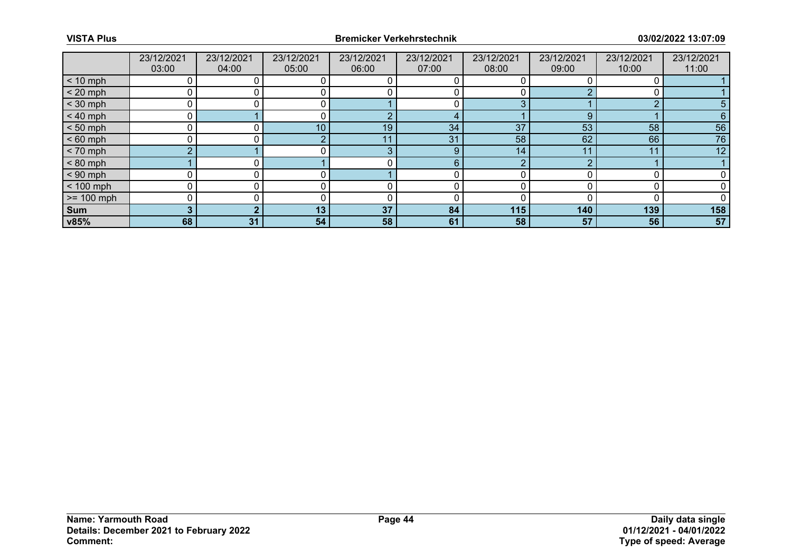|              | 23/12/2021 | 23/12/2021 | 23/12/2021      | 23/12/2021 | 23/12/2021 | 23/12/2021 | 23/12/2021 | 23/12/2021 | 23/12/2021 |
|--------------|------------|------------|-----------------|------------|------------|------------|------------|------------|------------|
|              | 03:00      | 04:00      | 05:00           | 06:00      | 07:00      | 08:00      | 09:00      | 10:00      | 11:00      |
| $< 10$ mph   |            |            |                 |            |            |            |            |            |            |
| $< 20$ mph   |            |            |                 |            |            |            |            |            |            |
| $<$ 30 mph   | ∩          |            |                 |            |            |            |            | $\Omega$   |            |
| $< 40$ mph   |            |            |                 |            |            |            | 9          |            | 6          |
| $< 50$ mph   |            |            | 10 <sub>1</sub> | 19         | 34         | 37         | 53         | 58         | 56         |
| $< 60$ mph   |            |            |                 | -1-1       | 31         | 58         | 62         | 66         | 76         |
| $< 70$ mph   | $\Omega$   |            |                 | $\sqrt{2}$ | 9          | 14         | 11         | 11         | 12         |
| $< 80$ mph   |            |            |                 |            | 6          |            |            |            |            |
| $< 90$ mph   |            |            |                 |            |            |            |            |            |            |
| $< 100$ mph  |            |            |                 |            |            |            |            |            |            |
| $>= 100$ mph |            |            |                 |            |            |            |            |            |            |
| Sum          | 3          |            | 13 <sub>1</sub> | 37         | 84         | 115        | 140        | 139        | 158        |
| v85%         | 68         | 31         | 54              | 58         | 61         | 58         | 57         | 56         | 57         |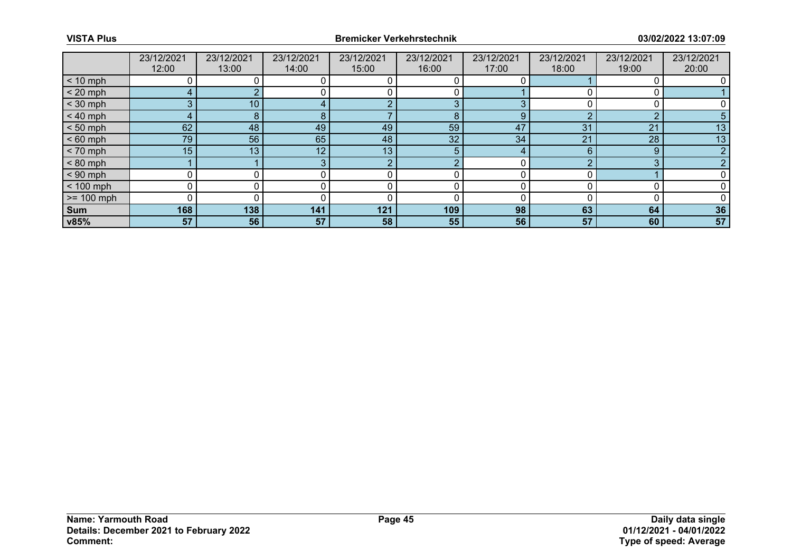|                 | 23/12/2021      | 23/12/2021 | 23/12/2021      | 23/12/2021 | 23/12/2021 | 23/12/2021 | 23/12/2021 | 23/12/2021 | 23/12/2021 |
|-----------------|-----------------|------------|-----------------|------------|------------|------------|------------|------------|------------|
|                 | 12:00           | 13:00      | 14:00           | 15:00      | 16:00      | 17:00      | 18:00      | 19:00      | 20:00      |
| $< 10$ mph      |                 |            |                 |            |            |            |            |            |            |
| $< 20$ mph      |                 |            |                 |            |            |            |            |            |            |
| $<$ 30 mph      |                 | 10         |                 |            | 3          |            |            |            |            |
| $< 40$ mph      |                 | Õ          |                 |            | 8          | 9          |            | $\sim$     |            |
| $< 50$ mph      | 62              | 48         | 49              | 49         | 59         | 47         | 31         | 21         | 13         |
| $< 60$ mph      | 79              | 56         | 65              | 48         | 32         | 34         | 21         | 28         | 13         |
| $< 70$ mph      | 15 <sub>1</sub> | 13         | 12 <sub>1</sub> | 13         | 5.         | 4          |            | 9          |            |
| $< 80$ mph      |                 |            |                 | $\Omega$   |            |            |            | ⌒          |            |
| $< 90$ mph      |                 |            |                 |            |            |            |            |            |            |
| $< 100$ mph     |                 |            |                 |            |            |            |            |            |            |
| $\ge$ = 100 mph |                 |            |                 |            |            |            |            |            |            |
| Sum             | 168             | 138        | 141             | 121        | 109        | 98         | 63         | 64         | 36         |
| v85%            | 57              | 56         | 57              | 58         | 55         | 56         | 57         | 60         | 57         |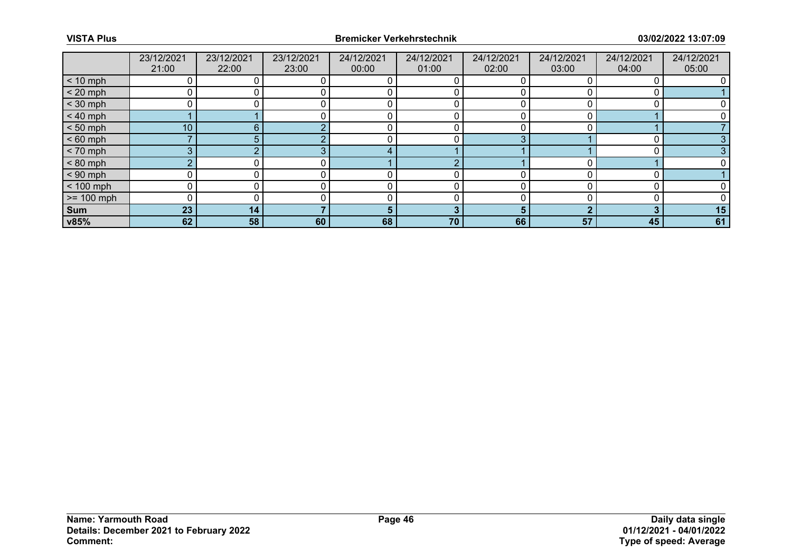|              | 23/12/2021      | 23/12/2021 | 23/12/2021 | 24/12/2021     | 24/12/2021 | 24/12/2021 | 24/12/2021 | 24/12/2021 | 24/12/2021 |
|--------------|-----------------|------------|------------|----------------|------------|------------|------------|------------|------------|
|              | 21:00           | 22:00      | 23:00      | 00:00          | 01:00      | 02:00      | 03:00      | 04:00      | 05:00      |
| $< 10$ mph   |                 |            |            |                |            |            |            |            |            |
| $< 20$ mph   |                 |            |            |                |            |            |            |            |            |
| $<$ 30 mph   | 0               |            |            |                |            |            |            |            |            |
| $< 40$ mph   |                 |            |            |                |            |            |            |            |            |
| $< 50$ mph   | 10 <sub>1</sub> | 6          |            |                |            |            |            |            |            |
| $< 60$ mph   |                 |            |            |                |            | ⌒          |            |            |            |
| $< 70$ mph   | 3               |            |            | $\overline{A}$ |            |            |            |            |            |
| $< 80$ mph   | $\sqrt{2}$      |            |            |                |            |            |            |            |            |
| $< 90$ mph   | 0               |            |            |                |            |            |            |            |            |
| $< 100$ mph  | 0               |            |            |                |            |            |            |            |            |
| $>= 100$ mph | 0               |            |            |                |            |            |            |            |            |
| Sum          | 23              | 14         |            | 5              |            |            |            |            | 15         |
| v85%         | 62              | 58         | 60         | 68             | 70         | 66         | 57         | 45         | 61         |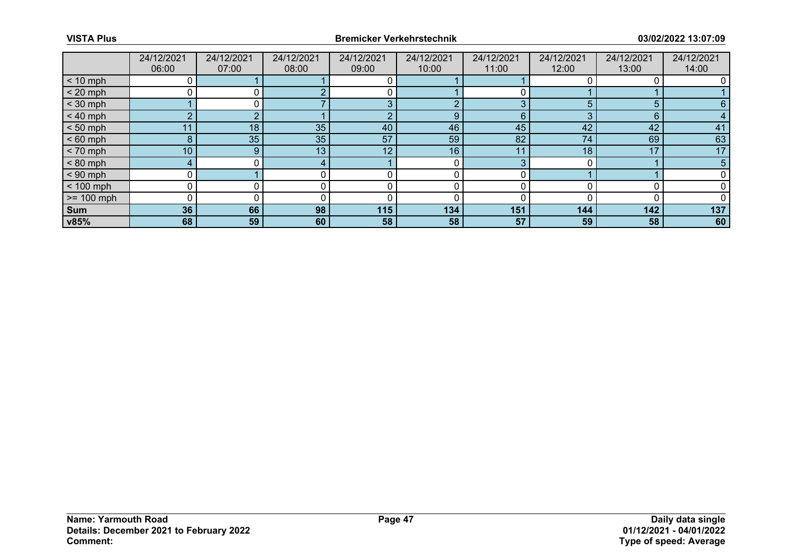|              | 24/12/2021      | 24/12/2021 | 24/12/2021 | 24/12/2021 | 24/12/2021 | 24/12/2021 | 24/12/2021 | 24/12/2021 | 24/12/2021 |
|--------------|-----------------|------------|------------|------------|------------|------------|------------|------------|------------|
|              | 06:00           | 07:00      | 08:00      | 09:00      | 10:00      | 11:00      | 12:00      | 13:00      | 14:00      |
| $< 10$ mph   |                 |            |            |            |            |            |            |            |            |
| $< 20$ mph   |                 |            |            |            |            |            |            |            |            |
| $<$ 30 mph   |                 |            |            |            |            |            |            |            | 6.         |
| $< 40$ mph   | $\sim$          |            |            |            | 9          | 6.         |            | 6          |            |
| $< 50$ mph   | 11              | 18         | 35         | 40         | 46         | 45         | 42         | 42         | 41         |
| $< 60$ mph   | 8               | 35         | 35         | 57         | 59         | 82         | 74         | 69         | 63         |
| $< 70$ mph   | 10 <sup>°</sup> | 9          | 13         | 12         | 16         | 11         | 18         | 17         | 17         |
| $< 80$ mph   |                 |            |            |            |            |            |            |            | 5          |
| $< 90$ mph   | 0               |            |            |            |            |            |            |            |            |
| $< 100$ mph  |                 |            |            |            |            |            |            |            |            |
| $>= 100$ mph | 0               |            |            |            |            |            |            |            |            |
| Sum          | 36              | 66         | 98         | 115        | 134        | 151        | 144        | 142        | 137        |
| v85%         | 68              | 59         | 60         | 58         | 58         | 57         | 59         | 58         | 60         |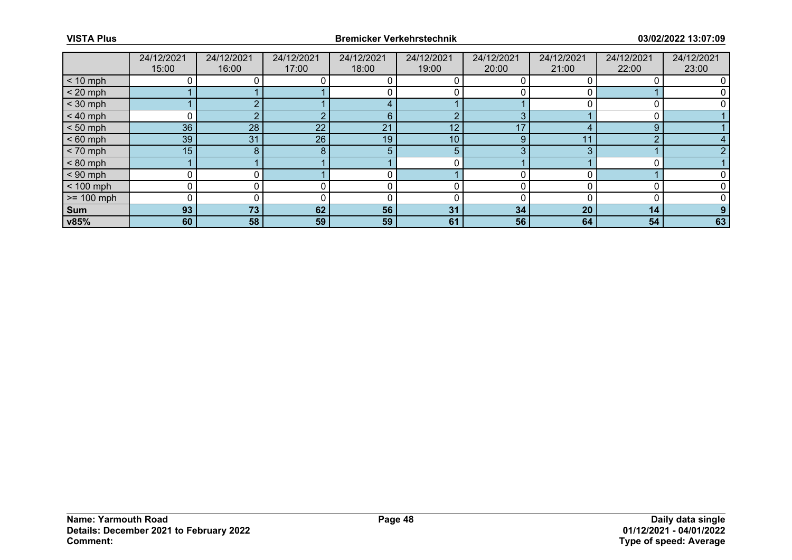|              | 24/12/2021       | 24/12/2021 | 24/12/2021 | 24/12/2021 | 24/12/2021      | 24/12/2021 | 24/12/2021 | 24/12/2021 | 24/12/2021 |
|--------------|------------------|------------|------------|------------|-----------------|------------|------------|------------|------------|
|              | 15:00            | 16:00      | 17:00      | 18:00      | 19:00           | 20:00      | 21:00      | 22:00      | 23:00      |
| $< 10$ mph   |                  |            |            |            |                 |            |            |            |            |
| $< 20$ mph   |                  |            |            |            |                 |            |            |            |            |
| $<$ 30 mph   |                  |            |            |            |                 |            |            |            |            |
| $< 40$ mph   |                  |            |            | 6          | $\Omega$        |            |            |            |            |
| $< 50$ mph   | 36               | 28         | 22         | 21         | 12              | 17         |            | 9          |            |
| $< 60$ mph   | 39               | 31         | 26         | 19         | 10 <sup>°</sup> | 9          | $\cdot$    |            |            |
| $< 70$ mph   | 15 <sub>15</sub> | 8          | я          | 5          | 5               | 3          |            |            |            |
| $< 80$ mph   |                  |            |            |            |                 |            |            |            |            |
| $< 90$ mph   |                  |            |            |            |                 |            |            |            |            |
| $< 100$ mph  |                  |            |            |            |                 |            |            |            |            |
| $>= 100$ mph |                  |            |            |            |                 |            |            |            |            |
| Sum          | 93               | 73         | 62         | 56         | 31              | 34         | 20         | 14         |            |
| v85%         | 60               | 58         | 59         | 59         | 61              | 56         | 64         | 54         | 63         |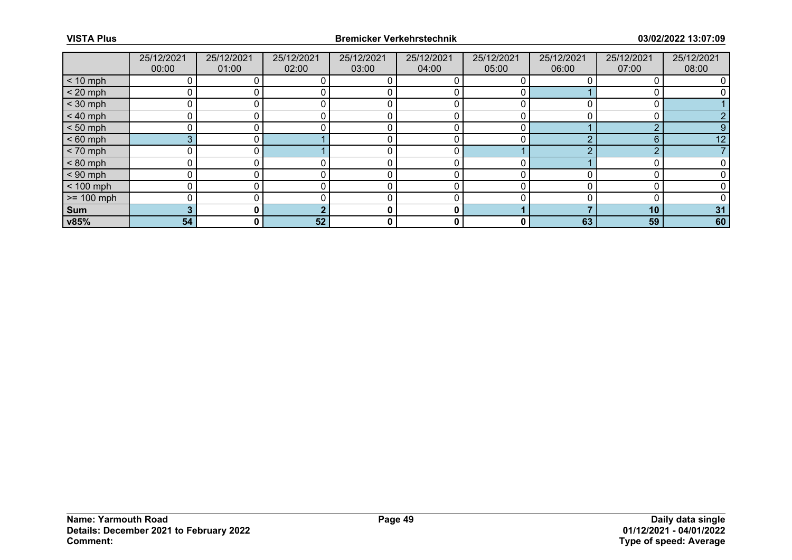|              | 25/12/2021 | 25/12/2021   | 25/12/2021 | 25/12/2021 | 25/12/2021 | 25/12/2021 | 25/12/2021 | 25/12/2021 | 25/12/2021 |
|--------------|------------|--------------|------------|------------|------------|------------|------------|------------|------------|
|              | 00:00      | 01:00        | 02:00      | 03:00      | 04:00      | 05:00      | 06:00      | 07:00      | 08:00      |
| $< 10$ mph   |            |              |            |            |            |            |            |            |            |
| $< 20$ mph   |            |              |            |            |            |            |            |            |            |
| $<$ 30 mph   |            |              |            |            |            |            |            |            |            |
| $< 40$ mph   |            |              |            |            |            |            |            |            |            |
| $< 50$ mph   |            |              |            |            |            | ∩          |            | $\Omega$   |            |
| $< 60$ mph   | 3          |              |            |            |            |            |            | 6          | 12         |
| $< 70$ mph   |            |              |            |            |            |            |            | ◠          |            |
| $< 80$ mph   |            |              |            |            |            |            |            |            |            |
| $< 90$ mph   |            |              |            |            |            | ∩          |            |            |            |
| $< 100$ mph  |            |              |            |            |            |            |            |            |            |
| $>= 100$ mph |            |              |            |            |            | ∩          |            |            |            |
| Sum          |            |              |            | 0          | 0          |            |            | 10         | 31         |
| v85%         | 54         | $\mathbf{0}$ | 52         | 0          | 0          | 0          | 63         | 59         | 60         |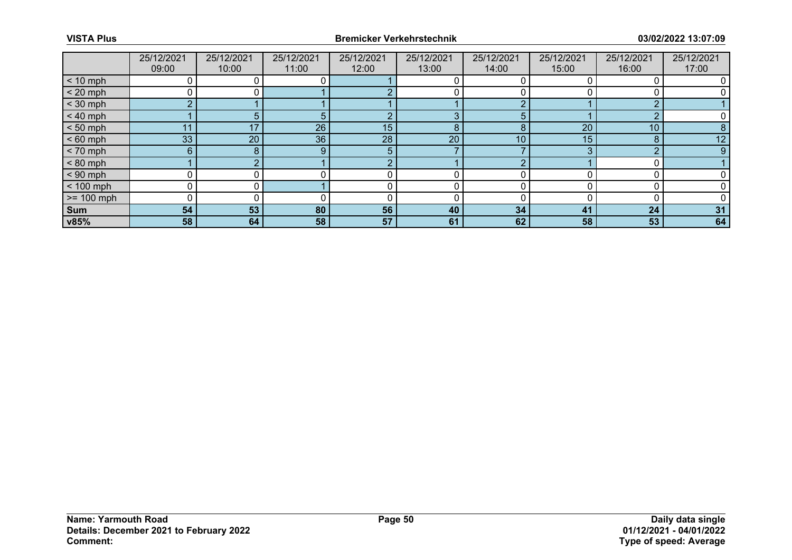|              | 25/12/2021 | 25/12/2021 | 25/12/2021 | 25/12/2021 | 25/12/2021 | 25/12/2021      | 25/12/2021 | 25/12/2021      | 25/12/2021      |
|--------------|------------|------------|------------|------------|------------|-----------------|------------|-----------------|-----------------|
|              | 09:00      | 10:00      | 11:00      | 12:00      | 13:00      | 14:00           | 15:00      | 16:00           | 17:00           |
| $< 10$ mph   |            |            |            |            |            |                 |            |                 |                 |
| $< 20$ mph   |            |            |            |            |            |                 |            |                 |                 |
| $<$ 30 mph   | n          |            |            |            |            |                 |            | $\sim$          |                 |
| $< 40$ mph   |            |            |            |            | 3          | 5.              |            | ◠               |                 |
| $< 50$ mph   | ∣1         | 17         | 26         | 15         | 8          | 8               | 20         | 10 <sup>°</sup> |                 |
| $< 60$ mph   | 33         | 20         | 36         | 28         | 20         | 10 <sup>1</sup> | 15         | 8               | 12 <sup>°</sup> |
| $< 70$ mph   | 6          |            | 9          | 5          |            |                 |            | $\Omega$        |                 |
| $< 80$ mph   |            |            |            |            |            |                 |            |                 |                 |
| $< 90$ mph   |            |            |            |            |            |                 |            |                 |                 |
| $< 100$ mph  |            |            |            |            |            |                 |            |                 |                 |
| $>= 100$ mph |            |            |            |            |            |                 |            |                 |                 |
| Sum          | 54         | 53         | 80         | 56         | 40         | 34              | 41         | 24              | 31              |
| v85%         | 58         | 64         | 58         | 57         | 61         | 62              | 58         | 53              | 64              |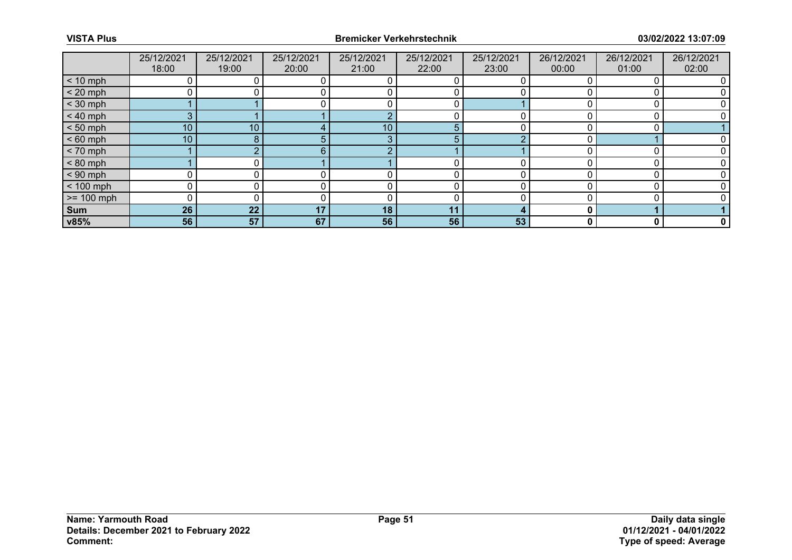|              | 25/12/2021      | 25/12/2021      | 25/12/2021 | 25/12/2021 | 25/12/2021 | 25/12/2021 | 26/12/2021 | 26/12/2021 | 26/12/2021   |
|--------------|-----------------|-----------------|------------|------------|------------|------------|------------|------------|--------------|
|              | 18:00           | 19:00           | 20:00      | 21:00      | 22:00      | 23:00      | 00:00      | 01:00      | 02:00        |
| $< 10$ mph   |                 |                 |            |            |            |            |            |            |              |
| $< 20$ mph   |                 |                 |            |            |            |            |            |            |              |
| $<$ 30 mph   |                 |                 |            |            |            |            |            |            |              |
| $< 40$ mph   | 3               |                 |            |            |            |            |            |            |              |
| $< 50$ mph   | 10 <sup>°</sup> | 10 <sup>°</sup> |            | 10         | 5          |            |            |            |              |
| $< 60$ mph   | 10 <sup>1</sup> | 8.              |            | 3          | 5          |            |            |            |              |
| $< 70$ mph   |                 |                 | 6          | $\sqrt{2}$ |            |            |            |            |              |
| $< 80$ mph   |                 |                 |            |            |            |            |            |            |              |
| $< 90$ mph   |                 |                 |            |            |            |            |            |            |              |
| $< 100$ mph  | 0               |                 |            |            |            |            |            |            |              |
| $>= 100$ mph | 0               |                 |            |            |            |            |            |            |              |
| Sum          | 26              | 22              | 17         | 18         | 11         |            |            |            |              |
| v85%         | 56              | 57              | 67         | 56         | 56         | 53         | 0          | 0          | $\mathbf{0}$ |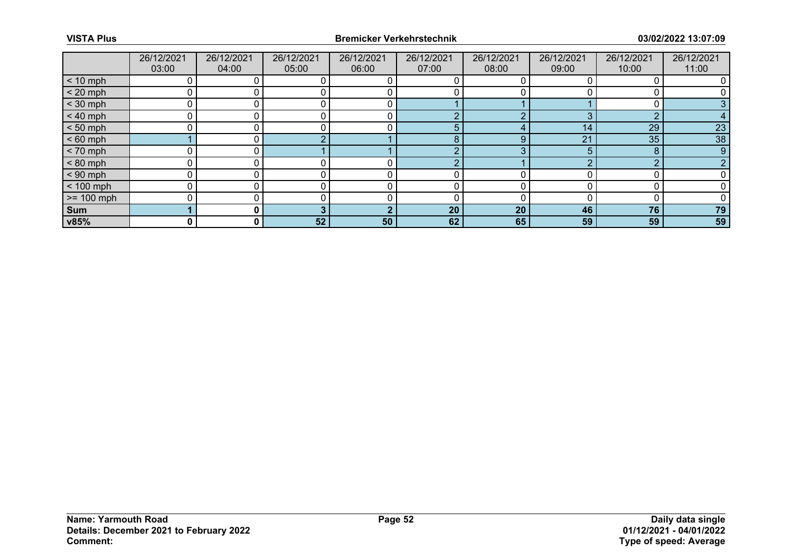|              | 26/12/2021 | 26/12/2021 | 26/12/2021 | 26/12/2021 | 26/12/2021 | 26/12/2021 | 26/12/2021 | 26/12/2021 | 26/12/2021 |
|--------------|------------|------------|------------|------------|------------|------------|------------|------------|------------|
|              | 03:00      | 04:00      | 05:00      | 06:00      | 07:00      | 08:00      | 09:00      | 10:00      | 11:00      |
| $< 10$ mph   |            |            |            |            |            |            |            |            |            |
| $< 20$ mph   |            |            |            |            |            |            |            |            |            |
| $<$ 30 mph   |            |            |            |            |            |            |            |            |            |
| $< 40$ mph   |            |            |            |            | $\sqrt{ }$ |            |            | $\Omega$   |            |
| $< 50$ mph   |            |            |            |            | 5          |            | 14         | 29         | 23         |
| $< 60$ mph   |            |            |            |            | 8          | 9          | 21         | 35         | 38         |
| $< 70$ mph   |            |            |            |            | $\Omega$   | 3          |            | 8          | 9          |
| $< 80$ mph   |            |            |            |            | $\sqrt{ }$ |            |            | $\Omega$   |            |
| $< 90$ mph   |            |            |            |            |            |            |            |            |            |
| $< 100$ mph  |            |            |            |            |            |            |            |            |            |
| $>= 100$ mph |            |            |            |            |            |            |            |            |            |
| Sum          |            |            |            | n          | 20         | 20         | 46         | 76         | 79         |
| v85%         | 0          | 0 I        | 52         | 50         | 62         | 65         | 59         | 59         | 59         |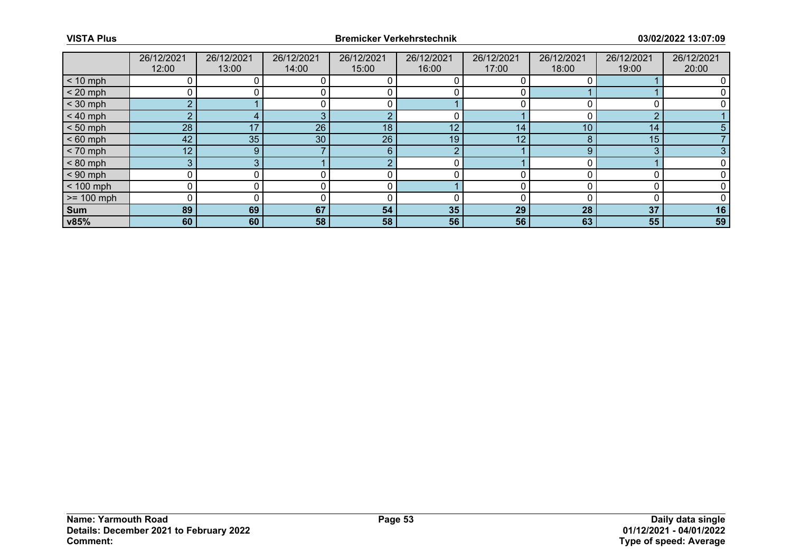|                 | 26/12/2021      | 26/12/2021 | 26/12/2021 | 26/12/2021 | 26/12/2021 | 26/12/2021 | 26/12/2021 | 26/12/2021 | 26/12/2021 |
|-----------------|-----------------|------------|------------|------------|------------|------------|------------|------------|------------|
|                 | 12:00           | 13:00      | 14:00      | 15:00      | 16:00      | 17:00      | 18:00      | 19:00      | 20:00      |
| $< 10$ mph      |                 |            |            |            |            |            |            |            |            |
| $< 20$ mph      |                 |            |            |            |            |            |            |            |            |
| $<$ 30 mph      |                 |            |            |            |            |            |            |            |            |
| $< 40$ mph      |                 |            |            | $\sqrt{ }$ |            |            |            |            |            |
| $< 50$ mph      | 28              | 17         | 26         | 18         | 12         | 14         | 10         | 14         |            |
| $< 60$ mph      | 42              | 35         | 30         | 26         | 19         | 12         |            | 15         |            |
| $< 70$ mph      | 12 <sup>°</sup> | 9          |            | 6          | $\sqrt{2}$ |            |            | 3          |            |
| $< 80$ mph      |                 |            |            | $\sqrt{ }$ |            |            |            |            |            |
| $< 90$ mph      |                 |            |            |            |            |            |            |            |            |
| $< 100$ mph     |                 |            |            |            |            |            |            |            |            |
| $\ge$ = 100 mph |                 |            |            |            |            |            |            |            |            |
| Sum             | 89              | 69         | 67         | 54         | 35         | 29         | 28         | 37         | 16         |
| v85%            | 60              | 60         | 58         | 58         | 56         | 56         | 63         | 55         | 59         |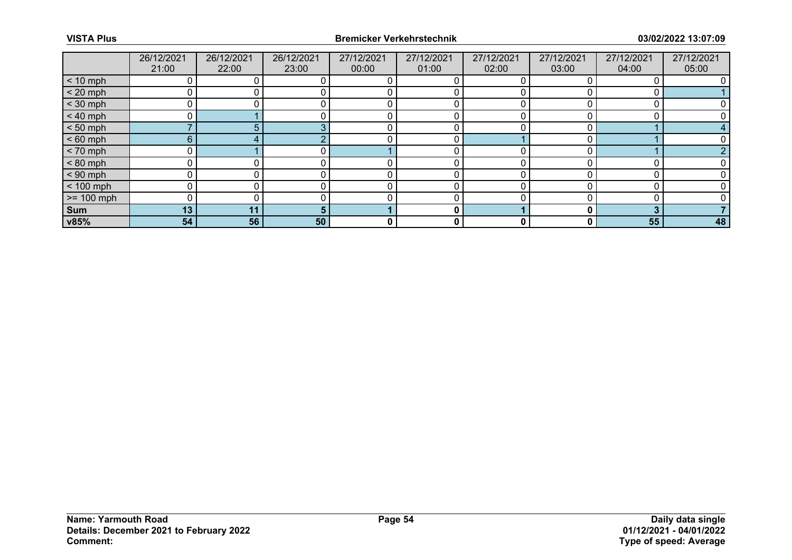|              | 26/12/2021      | 26/12/2021 | 26/12/2021 | 27/12/2021 | 27/12/2021 | 27/12/2021 | 27/12/2021 | 27/12/2021 | 27/12/2021 |
|--------------|-----------------|------------|------------|------------|------------|------------|------------|------------|------------|
|              | 21:00           | 22:00      | 23:00      | 00:00      | 01:00      | 02:00      | 03:00      | 04:00      | 05:00      |
| $< 10$ mph   |                 |            |            |            |            |            |            |            |            |
| $< 20$ mph   |                 |            |            |            |            |            |            |            |            |
| $<$ 30 mph   |                 |            |            |            |            |            |            |            |            |
| $< 40$ mph   |                 |            |            |            |            |            |            |            |            |
| $< 50$ mph   |                 |            |            |            |            |            |            |            |            |
| $< 60$ mph   | 6               |            |            |            |            |            |            |            |            |
| $< 70$ mph   |                 |            |            |            |            |            |            |            |            |
| $< 80$ mph   |                 |            |            |            |            |            |            |            |            |
| $< 90$ mph   |                 |            |            |            |            | ∩          |            |            |            |
| $< 100$ mph  |                 |            |            |            |            |            |            |            |            |
| $>= 100$ mph |                 |            |            |            |            | ∩          |            |            |            |
| Sum          | 13 <sub>1</sub> | 11         |            |            | 0          |            |            |            |            |
| v85%         | 54              | 56         | 50         | 0          | 0          | 0          |            | 55         | 48         |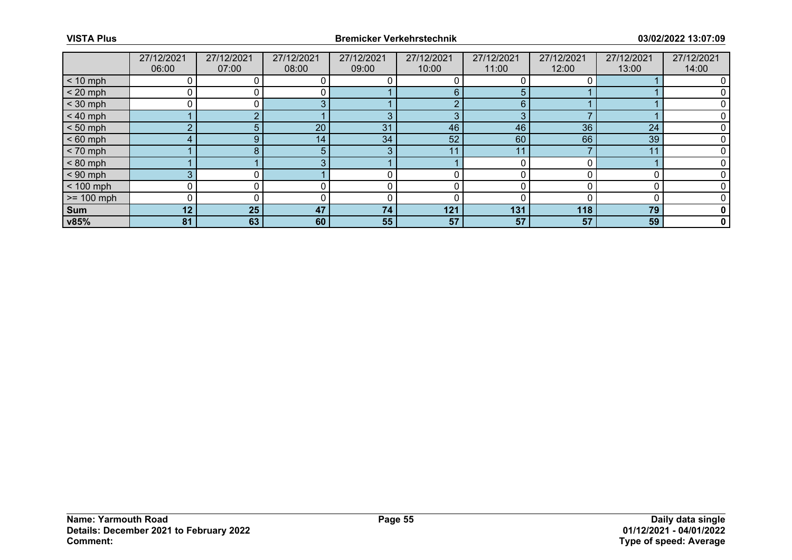|              | 27/12/2021 | 27/12/2021 | 27/12/2021 | 27/12/2021 | 27/12/2021 | 27/12/2021 | 27/12/2021 | 27/12/2021 | 27/12/2021   |
|--------------|------------|------------|------------|------------|------------|------------|------------|------------|--------------|
|              | 06:00      | 07:00      | 08:00      | 09:00      | 10:00      | 11:00      | 12:00      | 13:00      | 14:00        |
| $< 10$ mph   |            |            |            |            |            |            |            |            |              |
| $< 20$ mph   |            |            |            |            | 6          | 5          |            |            |              |
| $<$ 30 mph   | 0          |            |            |            | $\sim$     | 6          |            |            |              |
| $< 40$ mph   |            |            |            | З          | $\Omega$   |            |            |            |              |
| $< 50$ mph   | $\sqrt{2}$ |            | 20         | 31         | 46         | 46         | 36         | 24         |              |
| $< 60$ mph   |            |            | 14         | 34         | 52         | 60         | 66         | 39         |              |
| $< 70$ mph   |            |            |            | 3          | 11         | 11         |            | 11         |              |
| $< 80$ mph   |            |            |            |            |            |            |            |            |              |
| $< 90$ mph   | $\Omega$   |            |            |            |            |            |            |            |              |
| $< 100$ mph  |            |            |            |            |            |            |            |            |              |
| $>= 100$ mph | 0          |            |            |            |            |            |            |            |              |
| Sum          | 12         | 25         | 47         | 74         | 121        | 131        | 118        | 79         |              |
| v85%         | 81         | 63         | 60         | 55         | 57         | 57         | 57         | 59         | $\mathbf{0}$ |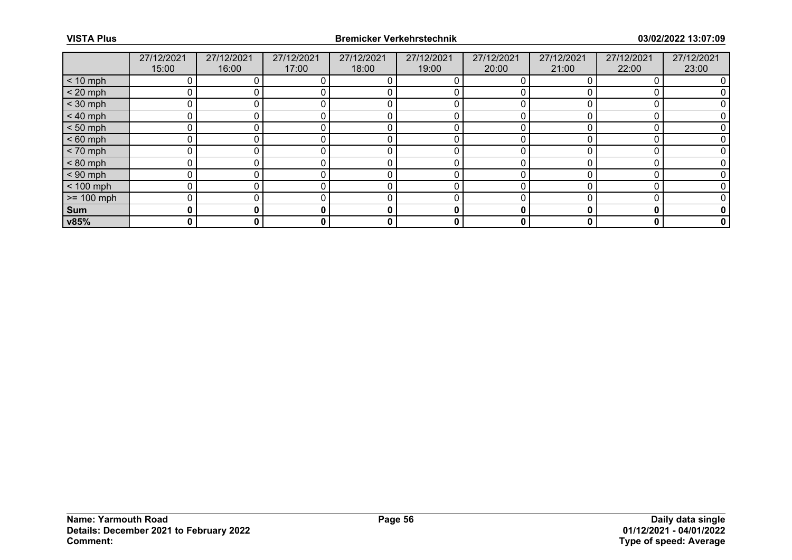|              | 27/12/2021 | 27/12/2021 | 27/12/2021 | 27/12/2021 | 27/12/2021 | 27/12/2021 | 27/12/2021 | 27/12/2021 | 27/12/2021  |
|--------------|------------|------------|------------|------------|------------|------------|------------|------------|-------------|
|              | 15:00      | 16:00      | 17:00      | 18:00      | 19:00      | 20:00      | 21:00      | 22:00      | 23:00       |
| $< 10$ mph   |            |            |            |            |            |            |            |            |             |
| $< 20$ mph   |            |            |            |            |            |            |            |            |             |
| $<$ 30 mph   | 0          |            |            |            |            |            |            |            |             |
| $< 40$ mph   | 0          |            |            |            |            |            |            |            |             |
| $< 50$ mph   | ∩          |            |            |            |            |            |            |            |             |
| $< 60$ mph   | ∩          |            |            |            |            |            |            |            |             |
| $< 70$ mph   | ∩          |            |            |            |            |            |            |            |             |
| $< 80$ mph   |            |            |            |            |            |            |            |            |             |
| $< 90$ mph   | ∩          |            |            |            |            |            |            |            |             |
| $< 100$ mph  |            |            |            |            |            |            |            |            |             |
| $>= 100$ mph | U          |            |            |            |            |            |            |            |             |
| Sum          | 0          |            |            | 0          | 0          |            |            | О          | 0           |
| v85%         | 0          | 0          | 0          | 0          | 0          | 0          |            | 0          | $\mathbf 0$ |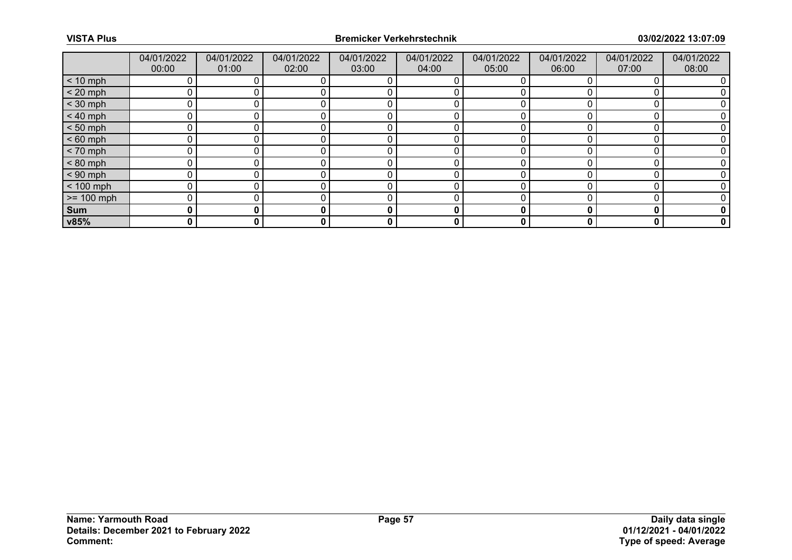|              | 04/01/2022 | 04/01/2022 | 04/01/2022 | 04/01/2022 | 04/01/2022 | 04/01/2022 | 04/01/2022 | 04/01/2022 | 04/01/2022  |
|--------------|------------|------------|------------|------------|------------|------------|------------|------------|-------------|
|              | 00:00      | 01:00      | 02:00      | 03:00      | 04:00      | 05:00      | 06:00      | 07:00      | 08:00       |
| $< 10$ mph   |            |            |            |            |            |            |            |            |             |
| $< 20$ mph   |            |            |            |            |            |            |            |            |             |
| $<$ 30 mph   | ∩          |            |            |            |            |            |            |            |             |
| $< 40$ mph   |            |            |            |            |            |            |            |            |             |
| $< 50$ mph   |            |            |            |            |            |            |            |            |             |
| $< 60$ mph   |            |            |            |            |            |            |            |            |             |
| $< 70$ mph   |            |            |            |            |            |            |            |            |             |
| $< 80$ mph   |            |            |            |            |            |            |            |            |             |
| $< 90$ mph   | U          |            |            |            |            |            |            |            |             |
| $< 100$ mph  |            |            |            |            |            |            |            |            |             |
| $>= 100$ mph |            |            |            |            |            |            |            |            |             |
| Sum          | 0          |            |            | 0          | 0          |            |            |            | 0           |
| v85%         | 0          | 0          | 0          | 0          | 0          | 0          | 0          | 0          | $\mathbf 0$ |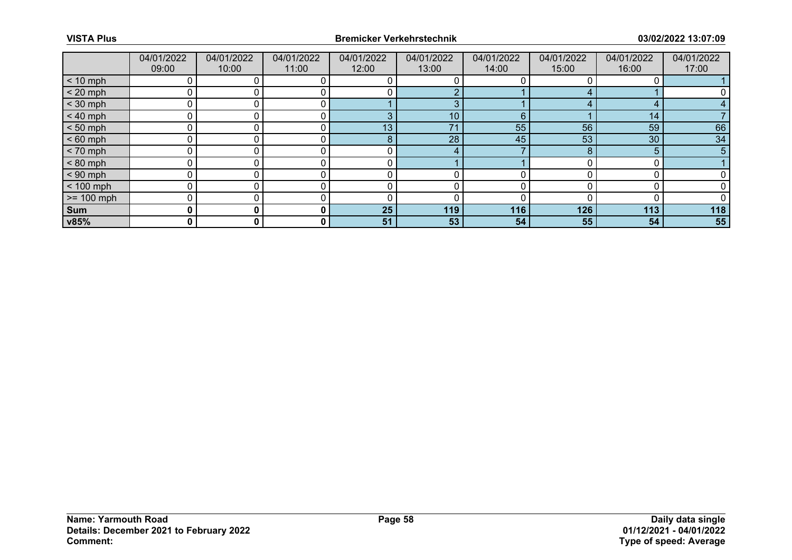|              | 04/01/2022 | 04/01/2022 | 04/01/2022 | 04/01/2022 | 04/01/2022      | 04/01/2022 | 04/01/2022 | 04/01/2022 | 04/01/2022 |
|--------------|------------|------------|------------|------------|-----------------|------------|------------|------------|------------|
|              | 09:00      | 10:00      | 11:00      | 12:00      | 13:00           | 14:00      | 15:00      | 16:00      | 17:00      |
| $< 10$ mph   |            |            |            |            |                 |            |            |            |            |
| $< 20$ mph   |            |            |            |            |                 |            |            |            |            |
| $<$ 30 mph   |            |            |            |            | 3               |            |            | 4          |            |
| $< 40$ mph   |            |            |            | З          | 10 <sub>1</sub> | 6          |            | 14         |            |
| $< 50$ mph   | n          |            |            | 13         | 74              | 55         | 56         | 59         | 66         |
| $< 60$ mph   |            |            |            | 8          | 28              | 45         | 53         | 30         | 34         |
| $< 70$ mph   | ∩          |            |            |            | 4               |            | 8          | 5          | 5          |
| $< 80$ mph   |            |            |            |            |                 |            |            |            |            |
| $< 90$ mph   | U          |            |            |            |                 |            |            |            |            |
| $< 100$ mph  |            |            |            |            |                 |            |            |            |            |
| $>= 100$ mph | $\Omega$   | 0          |            | 0          |                 |            |            |            |            |
| Sum          |            | 0          | 0          | 25         | 119             | 116        | 126        | 113        | 118        |
| v85%         | 0          | 0          | 0          | 51         | 53              | 54         | 55         | 54         | 55         |